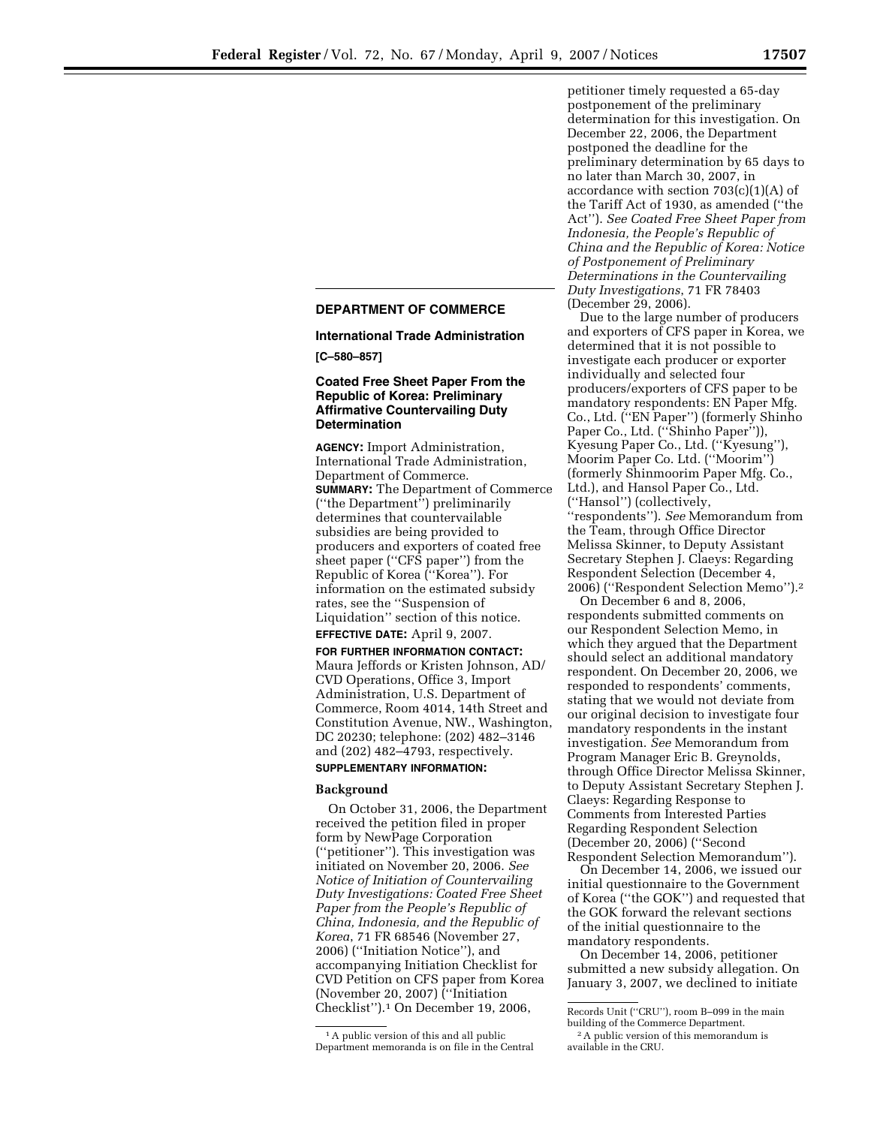## **DEPARTMENT OF COMMERCE**

**International Trade Administration [C–580–857]** 

## **Coated Free Sheet Paper From the Republic of Korea: Preliminary Affirmative Countervailing Duty Determination**

**AGENCY:** Import Administration, International Trade Administration, Department of Commerce. **SUMMARY:** The Department of Commerce (''the Department'') preliminarily determines that countervailable subsidies are being provided to producers and exporters of coated free sheet paper (''CFS paper'') from the Republic of Korea (''Korea''). For information on the estimated subsidy rates, see the ''Suspension of Liquidation'' section of this notice.

# **EFFECTIVE DATE:** April 9, 2007.

**FOR FURTHER INFORMATION CONTACT:**  Maura Jeffords or Kristen Johnson, AD/ CVD Operations, Office 3, Import Administration, U.S. Department of Commerce, Room 4014, 14th Street and Constitution Avenue, NW., Washington, DC 20230; telephone: (202) 482–3146 and (202) 482–4793, respectively.

### **SUPPLEMENTARY INFORMATION:**

#### **Background**

On October 31, 2006, the Department received the petition filed in proper form by NewPage Corporation (''petitioner''). This investigation was initiated on November 20, 2006. *See Notice of Initiation of Countervailing Duty Investigations: Coated Free Sheet Paper from the People's Republic of China, Indonesia, and the Republic of Korea*, 71 FR 68546 (November 27, 2006) (''Initiation Notice''), and accompanying Initiation Checklist for CVD Petition on CFS paper from Korea (November 20, 2007) (''Initiation Checklist'').1 On December 19, 2006,

petitioner timely requested a 65-day postponement of the preliminary determination for this investigation. On December 22, 2006, the Department postponed the deadline for the preliminary determination by 65 days to no later than March 30, 2007, in accordance with section  $703(c)(1)(A)$  of the Tariff Act of 1930, as amended (''the Act''). *See Coated Free Sheet Paper from Indonesia, the People's Republic of China and the Republic of Korea: Notice of Postponement of Preliminary Determinations in the Countervailing Duty Investigations*, 71 FR 78403 (December 29, 2006).

Due to the large number of producers and exporters of CFS paper in Korea, we determined that it is not possible to investigate each producer or exporter individually and selected four producers/exporters of CFS paper to be mandatory respondents: EN Paper Mfg. Co., Ltd. (''EN Paper'') (formerly Shinho Paper Co., Ltd. (''Shinho Paper'')), Kyesung Paper Co., Ltd. (''Kyesung''), Moorim Paper Co. Ltd. (''Moorim'') (formerly Shinmoorim Paper Mfg. Co., Ltd.), and Hansol Paper Co., Ltd. (''Hansol'') (collectively, ''respondents''). *See* Memorandum from the Team, through Office Director Melissa Skinner, to Deputy Assistant Secretary Stephen J. Claeys: Regarding Respondent Selection (December 4, 2006) (''Respondent Selection Memo'').2

On December 6 and 8, 2006, respondents submitted comments on our Respondent Selection Memo, in which they argued that the Department should select an additional mandatory respondent. On December 20, 2006, we responded to respondents' comments, stating that we would not deviate from our original decision to investigate four mandatory respondents in the instant investigation. *See* Memorandum from Program Manager Eric B. Greynolds, through Office Director Melissa Skinner, to Deputy Assistant Secretary Stephen J. Claeys: Regarding Response to Comments from Interested Parties Regarding Respondent Selection (December 20, 2006) (''Second Respondent Selection Memorandum'').

On December 14, 2006, we issued our initial questionnaire to the Government of Korea (''the GOK'') and requested that the GOK forward the relevant sections of the initial questionnaire to the mandatory respondents.

On December 14, 2006, petitioner submitted a new subsidy allegation. On January 3, 2007, we declined to initiate

<sup>&</sup>lt;sup>1</sup>A public version of this and all public Department memoranda is on file in the Central

Records Unit (''CRU''), room B–099 in the main

building of the Commerce Department.

<sup>2</sup>A public version of this memorandum is available in the CRU.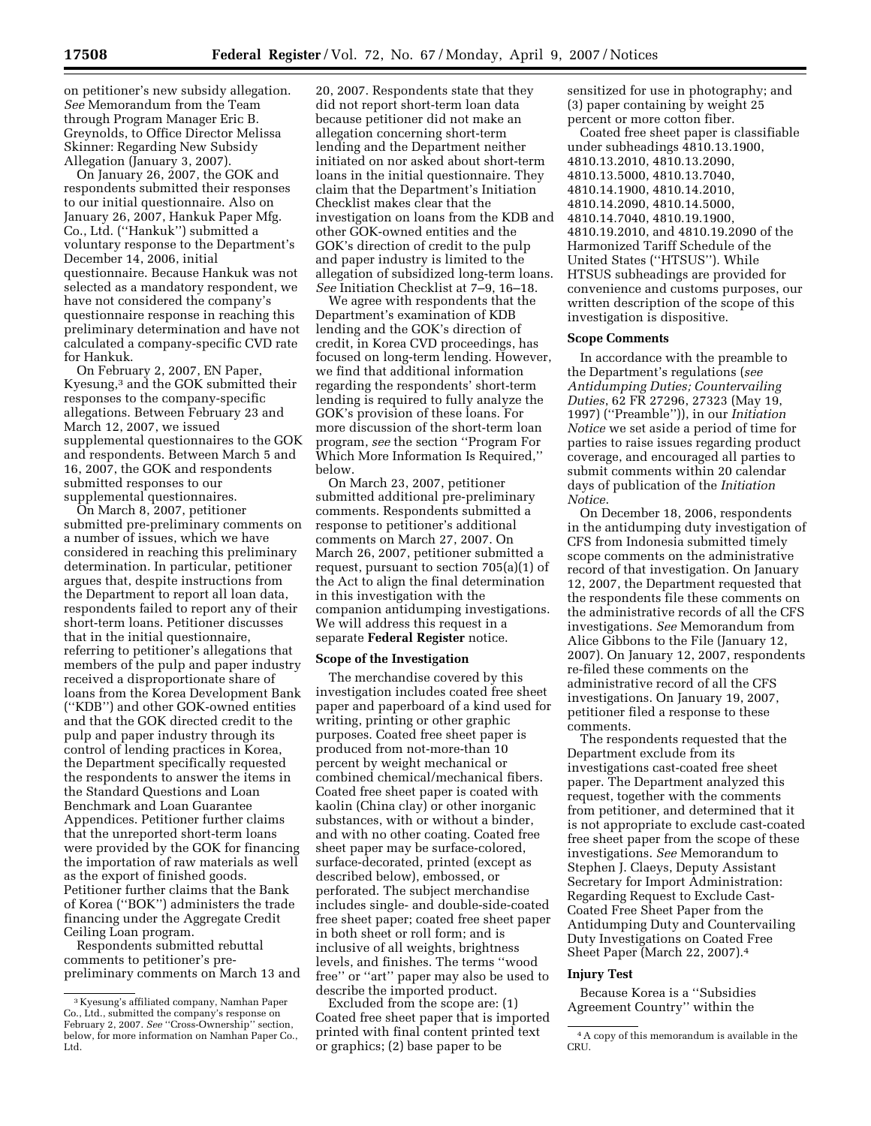on petitioner's new subsidy allegation. *See* Memorandum from the Team through Program Manager Eric B. Greynolds, to Office Director Melissa Skinner: Regarding New Subsidy Allegation (January 3, 2007).

On January 26, 2007, the GOK and respondents submitted their responses to our initial questionnaire. Also on January 26, 2007, Hankuk Paper Mfg. Co., Ltd. (''Hankuk'') submitted a voluntary response to the Department's December 14, 2006, initial questionnaire. Because Hankuk was not selected as a mandatory respondent, we have not considered the company's questionnaire response in reaching this preliminary determination and have not calculated a company-specific CVD rate for Hankuk.

On February 2, 2007, EN Paper, Kyesung,3 and the GOK submitted their responses to the company-specific allegations. Between February 23 and March 12, 2007, we issued supplemental questionnaires to the GOK and respondents. Between March 5 and 16, 2007, the GOK and respondents submitted responses to our supplemental questionnaires.

On March 8, 2007, petitioner submitted pre-preliminary comments on a number of issues, which we have considered in reaching this preliminary determination. In particular, petitioner argues that, despite instructions from the Department to report all loan data, respondents failed to report any of their short-term loans. Petitioner discusses that in the initial questionnaire, referring to petitioner's allegations that members of the pulp and paper industry received a disproportionate share of loans from the Korea Development Bank (''KDB'') and other GOK-owned entities and that the GOK directed credit to the pulp and paper industry through its control of lending practices in Korea, the Department specifically requested the respondents to answer the items in the Standard Questions and Loan Benchmark and Loan Guarantee Appendices. Petitioner further claims that the unreported short-term loans were provided by the GOK for financing the importation of raw materials as well as the export of finished goods. Petitioner further claims that the Bank of Korea (''BOK'') administers the trade financing under the Aggregate Credit Ceiling Loan program.

Respondents submitted rebuttal comments to petitioner's prepreliminary comments on March 13 and 20, 2007. Respondents state that they did not report short-term loan data because petitioner did not make an allegation concerning short-term lending and the Department neither initiated on nor asked about short-term loans in the initial questionnaire. They claim that the Department's Initiation Checklist makes clear that the investigation on loans from the KDB and other GOK-owned entities and the GOK's direction of credit to the pulp and paper industry is limited to the allegation of subsidized long-term loans. *See* Initiation Checklist at 7–9, 16–18.

We agree with respondents that the Department's examination of KDB lending and the GOK's direction of credit, in Korea CVD proceedings, has focused on long-term lending. However, we find that additional information regarding the respondents' short-term lending is required to fully analyze the GOK's provision of these loans. For more discussion of the short-term loan program, *see* the section ''Program For Which More Information Is Required,'' below.

On March 23, 2007, petitioner submitted additional pre-preliminary comments. Respondents submitted a response to petitioner's additional comments on March 27, 2007. On March 26, 2007, petitioner submitted a request, pursuant to section 705(a)(1) of the Act to align the final determination in this investigation with the companion antidumping investigations. We will address this request in a separate **Federal Register** notice.

#### **Scope of the Investigation**

The merchandise covered by this investigation includes coated free sheet paper and paperboard of a kind used for writing, printing or other graphic purposes. Coated free sheet paper is produced from not-more-than 10 percent by weight mechanical or combined chemical/mechanical fibers. Coated free sheet paper is coated with kaolin (China clay) or other inorganic substances, with or without a binder, and with no other coating. Coated free sheet paper may be surface-colored, surface-decorated, printed (except as described below), embossed, or perforated. The subject merchandise includes single- and double-side-coated free sheet paper; coated free sheet paper in both sheet or roll form; and is inclusive of all weights, brightness levels, and finishes. The terms ''wood free'' or ''art'' paper may also be used to describe the imported product.

Excluded from the scope are: (1) Coated free sheet paper that is imported printed with final content printed text or graphics; (2) base paper to be

sensitized for use in photography; and (3) paper containing by weight 25 percent or more cotton fiber.

Coated free sheet paper is classifiable under subheadings 4810.13.1900, 4810.13.2010, 4810.13.2090, 4810.13.5000, 4810.13.7040, 4810.14.1900, 4810.14.2010, 4810.14.2090, 4810.14.5000, 4810.14.7040, 4810.19.1900, 4810.19.2010, and 4810.19.2090 of the Harmonized Tariff Schedule of the United States (''HTSUS''). While HTSUS subheadings are provided for convenience and customs purposes, our written description of the scope of this investigation is dispositive.

#### **Scope Comments**

In accordance with the preamble to the Department's regulations (*see Antidumping Duties; Countervailing Duties*, 62 FR 27296, 27323 (May 19, 1997) (''Preamble'')), in our *Initiation Notice* we set aside a period of time for parties to raise issues regarding product coverage, and encouraged all parties to submit comments within 20 calendar days of publication of the *Initiation Notice*.

On December 18, 2006, respondents in the antidumping duty investigation of CFS from Indonesia submitted timely scope comments on the administrative record of that investigation. On January 12, 2007, the Department requested that the respondents file these comments on the administrative records of all the CFS investigations. *See* Memorandum from Alice Gibbons to the File (January 12, 2007). On January 12, 2007, respondents re-filed these comments on the administrative record of all the CFS investigations. On January 19, 2007, petitioner filed a response to these comments.

The respondents requested that the Department exclude from its investigations cast-coated free sheet paper. The Department analyzed this request, together with the comments from petitioner, and determined that it is not appropriate to exclude cast-coated free sheet paper from the scope of these investigations. *See* Memorandum to Stephen J. Claeys, Deputy Assistant Secretary for Import Administration: Regarding Request to Exclude Cast-Coated Free Sheet Paper from the Antidumping Duty and Countervailing Duty Investigations on Coated Free Sheet Paper (March 22, 2007).4

## **Injury Test**

Because Korea is a ''Subsidies Agreement Country'' within the

<sup>3</sup> Kyesung's affiliated company, Namhan Paper Co., Ltd., submitted the company's response on February 2, 2007. See "Cross-Ownership" section, below, for more information on Namhan Paper Co., Ltd.

<sup>4</sup>A copy of this memorandum is available in the CRU.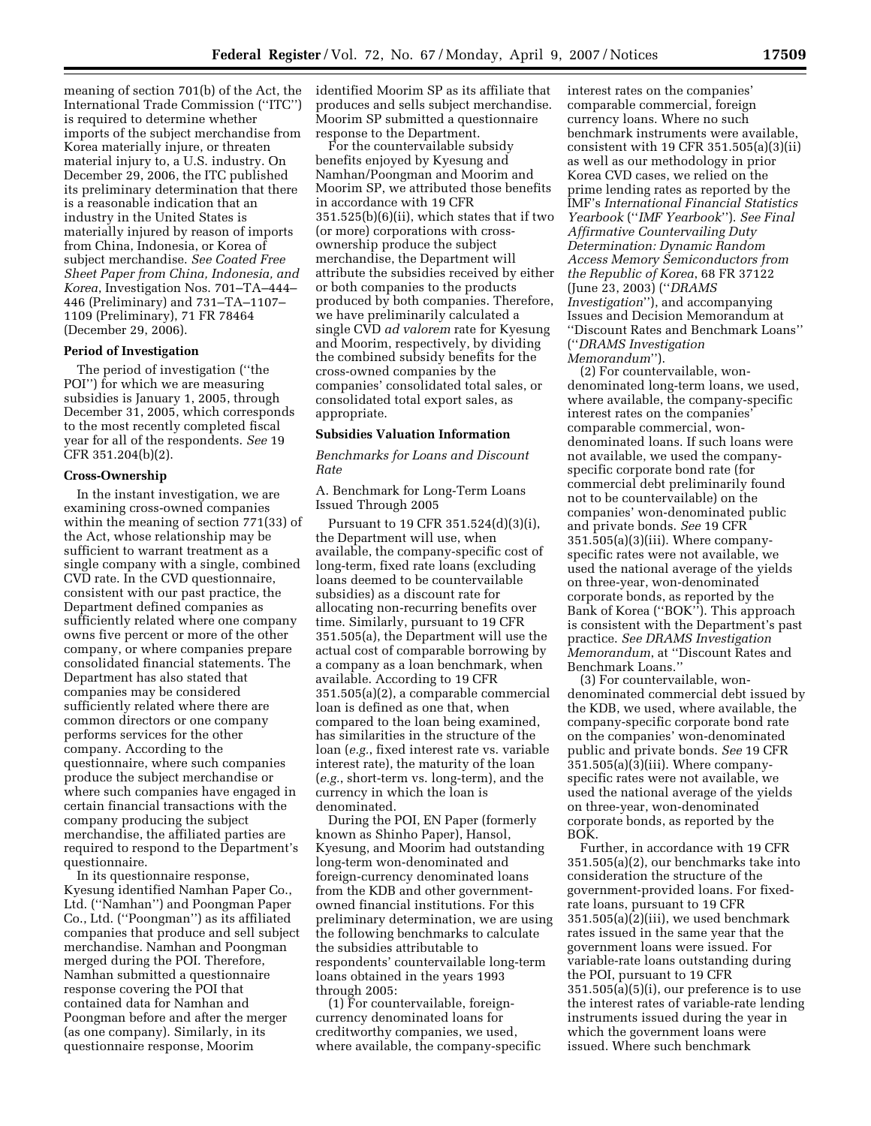meaning of section 701(b) of the Act, the International Trade Commission (''ITC'') is required to determine whether imports of the subject merchandise from Korea materially injure, or threaten material injury to, a U.S. industry. On December 29, 2006, the ITC published its preliminary determination that there is a reasonable indication that an industry in the United States is materially injured by reason of imports from China, Indonesia, or Korea of subject merchandise. *See Coated Free Sheet Paper from China, Indonesia, and Korea*, Investigation Nos. 701–TA–444– 446 (Preliminary) and 731–TA–1107– 1109 (Preliminary), 71 FR 78464 (December 29, 2006).

### **Period of Investigation**

The period of investigation (''the POI'') for which we are measuring subsidies is January 1, 2005, through December 31, 2005, which corresponds to the most recently completed fiscal year for all of the respondents. *See* 19 CFR 351.204(b)(2).

#### **Cross-Ownership**

In the instant investigation, we are examining cross-owned companies within the meaning of section 771(33) of the Act, whose relationship may be sufficient to warrant treatment as a single company with a single, combined CVD rate. In the CVD questionnaire, consistent with our past practice, the Department defined companies as sufficiently related where one company owns five percent or more of the other company, or where companies prepare consolidated financial statements. The Department has also stated that companies may be considered sufficiently related where there are common directors or one company performs services for the other company. According to the questionnaire, where such companies produce the subject merchandise or where such companies have engaged in certain financial transactions with the company producing the subject merchandise, the affiliated parties are required to respond to the Department's questionnaire.

In its questionnaire response, Kyesung identified Namhan Paper Co., Ltd. (''Namhan'') and Poongman Paper Co., Ltd. (''Poongman'') as its affiliated companies that produce and sell subject merchandise. Namhan and Poongman merged during the POI. Therefore, Namhan submitted a questionnaire response covering the POI that contained data for Namhan and Poongman before and after the merger (as one company). Similarly, in its questionnaire response, Moorim

identified Moorim SP as its affiliate that produces and sells subject merchandise. Moorim SP submitted a questionnaire response to the Department.

For the countervailable subsidy benefits enjoyed by Kyesung and Namhan/Poongman and Moorim and Moorim SP, we attributed those benefits in accordance with 19 CFR 351.525(b)(6)(ii), which states that if two (or more) corporations with crossownership produce the subject merchandise, the Department will attribute the subsidies received by either or both companies to the products produced by both companies. Therefore, we have preliminarily calculated a single CVD *ad valorem* rate for Kyesung and Moorim, respectively, by dividing the combined subsidy benefits for the cross-owned companies by the companies' consolidated total sales, or consolidated total export sales, as appropriate.

## **Subsidies Valuation Information**

*Benchmarks for Loans and Discount Rate* 

A. Benchmark for Long-Term Loans Issued Through 2005

Pursuant to 19 CFR 351.524(d)(3)(i), the Department will use, when available, the company-specific cost of long-term, fixed rate loans (excluding loans deemed to be countervailable subsidies) as a discount rate for allocating non-recurring benefits over time. Similarly, pursuant to 19 CFR 351.505(a), the Department will use the actual cost of comparable borrowing by a company as a loan benchmark, when available. According to 19 CFR 351.505(a)(2), a comparable commercial loan is defined as one that, when compared to the loan being examined, has similarities in the structure of the loan (*e.g.*, fixed interest rate vs. variable interest rate), the maturity of the loan (*e.g.*, short-term vs. long-term), and the currency in which the loan is denominated.

During the POI, EN Paper (formerly known as Shinho Paper), Hansol, Kyesung, and Moorim had outstanding long-term won-denominated and foreign-currency denominated loans from the KDB and other governmentowned financial institutions. For this preliminary determination, we are using the following benchmarks to calculate the subsidies attributable to respondents' countervailable long-term loans obtained in the years 1993 through 2005:

(1) For countervailable, foreigncurrency denominated loans for creditworthy companies, we used, where available, the company-specific interest rates on the companies' comparable commercial, foreign currency loans. Where no such benchmark instruments were available, consistent with 19 CFR 351.505(a)(3)(ii) as well as our methodology in prior Korea CVD cases, we relied on the prime lending rates as reported by the IMF's *International Financial Statistics Yearbook* (''*IMF Yearbook*''). *See Final Affirmative Countervailing Duty Determination: Dynamic Random Access Memory Semiconductors from the Republic of Korea*, 68 FR 37122 (June 23, 2003) (''*DRAMS Investigation*''), and accompanying Issues and Decision Memorandum at ''Discount Rates and Benchmark Loans'' (''*DRAMS Investigation Memorandum*'').

(2) For countervailable, wondenominated long-term loans, we used, where available, the company-specific interest rates on the companies' comparable commercial, wondenominated loans. If such loans were not available, we used the companyspecific corporate bond rate (for commercial debt preliminarily found not to be countervailable) on the companies' won-denominated public and private bonds. *See* 19 CFR  $351.505(a)(3)(iii)$ . Where companyspecific rates were not available, we used the national average of the yields on three-year, won-denominated corporate bonds, as reported by the Bank of Korea (''BOK''). This approach is consistent with the Department's past practice. *See DRAMS Investigation Memorandum*, at ''Discount Rates and Benchmark Loans.''

(3) For countervailable, wondenominated commercial debt issued by the KDB, we used, where available, the company-specific corporate bond rate on the companies' won-denominated public and private bonds. *See* 19 CFR 351.505(a)(3)(iii). Where companyspecific rates were not available, we used the national average of the yields on three-year, won-denominated corporate bonds, as reported by the BOK.

Further, in accordance with 19 CFR 351.505(a)(2), our benchmarks take into consideration the structure of the government-provided loans. For fixedrate loans, pursuant to 19 CFR 351.505(a)(2)(iii), we used benchmark rates issued in the same year that the government loans were issued. For variable-rate loans outstanding during the POI, pursuant to 19 CFR 351.505(a)(5)(i), our preference is to use the interest rates of variable-rate lending instruments issued during the year in which the government loans were issued. Where such benchmark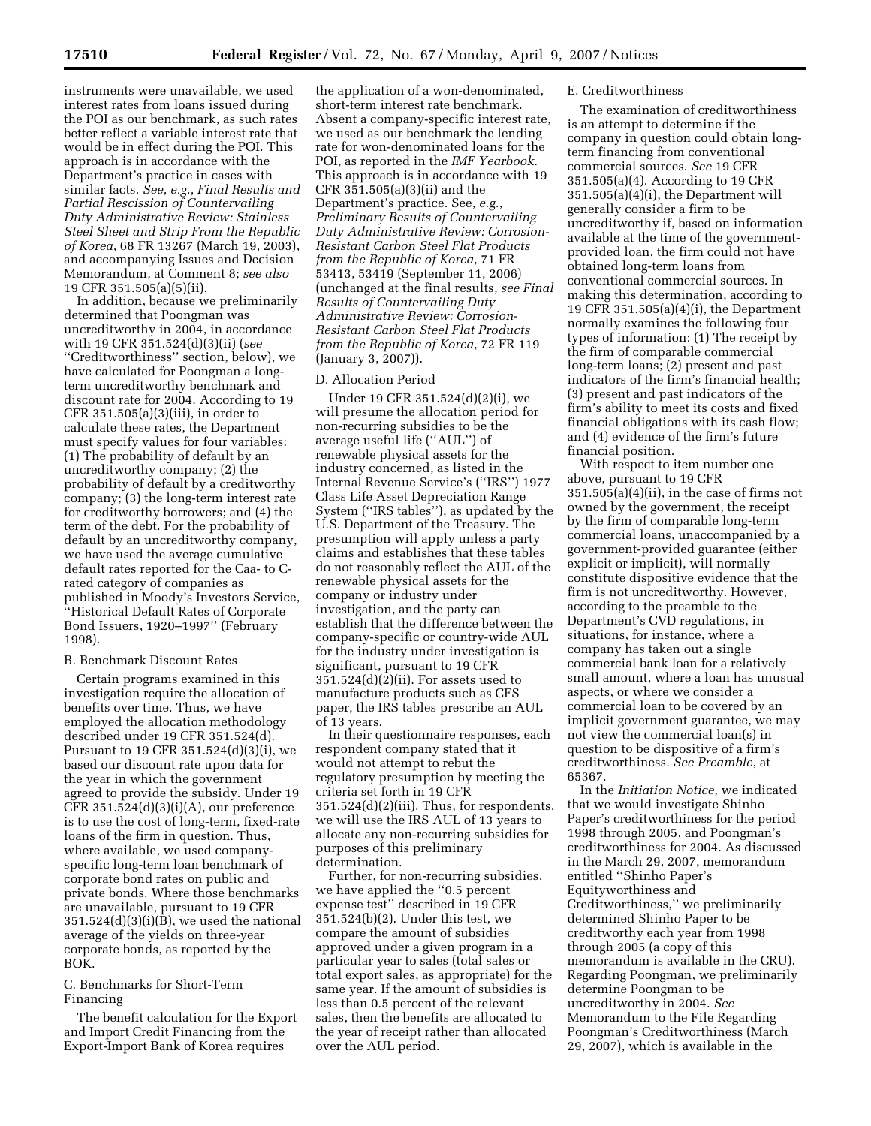instruments were unavailable, we used interest rates from loans issued during the POI as our benchmark, as such rates better reflect a variable interest rate that would be in effect during the POI. This approach is in accordance with the Department's practice in cases with similar facts. *See*, *e.g.*, *Final Results and Partial Rescission of Countervailing Duty Administrative Review: Stainless Steel Sheet and Strip From the Republic of Korea*, 68 FR 13267 (March 19, 2003), and accompanying Issues and Decision Memorandum, at Comment 8; *see also*  19 CFR 351.505(a)(5)(ii).

In addition, because we preliminarily determined that Poongman was uncreditworthy in 2004, in accordance with 19 CFR 351.524(d)(3)(ii) (*see*  ''Creditworthiness'' section, below), we have calculated for Poongman a longterm uncreditworthy benchmark and discount rate for 2004. According to 19 CFR 351.505(a)(3)(iii), in order to calculate these rates, the Department must specify values for four variables: (1) The probability of default by an uncreditworthy company; (2) the probability of default by a creditworthy company; (3) the long-term interest rate for creditworthy borrowers; and (4) the term of the debt. For the probability of default by an uncreditworthy company, we have used the average cumulative default rates reported for the Caa- to Crated category of companies as published in Moody's Investors Service, ''Historical Default Rates of Corporate Bond Issuers, 1920–1997'' (February 1998).

### B. Benchmark Discount Rates

Certain programs examined in this investigation require the allocation of benefits over time. Thus, we have employed the allocation methodology described under 19 CFR 351.524(d). Pursuant to 19 CFR 351.524(d)(3)(i), we based our discount rate upon data for the year in which the government agreed to provide the subsidy. Under 19 CFR 351.524(d)(3)(i)(A), our preference is to use the cost of long-term, fixed-rate loans of the firm in question. Thus, where available, we used companyspecific long-term loan benchmark of corporate bond rates on public and private bonds. Where those benchmarks are unavailable, pursuant to 19 CFR  $351.524(d)(3)(i)(\overline{B})$ , we used the national average of the yields on three-year corporate bonds, as reported by the BOK.

## C. Benchmarks for Short-Term Financing

The benefit calculation for the Export and Import Credit Financing from the Export-Import Bank of Korea requires

the application of a won-denominated, short-term interest rate benchmark. Absent a company-specific interest rate, we used as our benchmark the lending rate for won-denominated loans for the POI, as reported in the *IMF Yearbook.*  This approach is in accordance with 19 CFR 351.505(a)(3)(ii) and the Department's practice. See, *e.g.*, *Preliminary Results of Countervailing Duty Administrative Review: Corrosion-Resistant Carbon Steel Flat Products from the Republic of Korea*, 71 FR 53413, 53419 (September 11, 2006) (unchanged at the final results, *see Final Results of Countervailing Duty Administrative Review: Corrosion-Resistant Carbon Steel Flat Products from the Republic of Korea*, 72 FR 119 (January 3, 2007)).

## D. Allocation Period

Under 19 CFR 351.524(d)(2)(i), we will presume the allocation period for non-recurring subsidies to be the average useful life (''AUL'') of renewable physical assets for the industry concerned, as listed in the Internal Revenue Service's (''IRS'') 1977 Class Life Asset Depreciation Range System (''IRS tables''), as updated by the U.S. Department of the Treasury. The presumption will apply unless a party claims and establishes that these tables do not reasonably reflect the AUL of the renewable physical assets for the company or industry under investigation, and the party can establish that the difference between the company-specific or country-wide AUL for the industry under investigation is significant, pursuant to 19 CFR  $351.524(d)(2)(ii)$ . For assets used to manufacture products such as CFS paper, the IRS tables prescribe an AUL of 13 years.

In their questionnaire responses, each respondent company stated that it would not attempt to rebut the regulatory presumption by meeting the criteria set forth in 19 CFR 351.524(d)(2)(iii). Thus, for respondents, we will use the IRS AUL of 13 years to allocate any non-recurring subsidies for purposes of this preliminary determination.

Further, for non-recurring subsidies, we have applied the ''0.5 percent expense test'' described in 19 CFR 351.524(b)(2). Under this test, we compare the amount of subsidies approved under a given program in a particular year to sales (total sales or total export sales, as appropriate) for the same year. If the amount of subsidies is less than 0.5 percent of the relevant sales, then the benefits are allocated to the year of receipt rather than allocated over the AUL period.

### E. Creditworthiness

The examination of creditworthiness is an attempt to determine if the company in question could obtain longterm financing from conventional commercial sources. *See* 19 CFR 351.505(a)(4). According to 19 CFR 351.505(a)(4)(i), the Department will generally consider a firm to be uncreditworthy if, based on information available at the time of the governmentprovided loan, the firm could not have obtained long-term loans from conventional commercial sources. In making this determination, according to 19 CFR 351.505(a)(4)(i), the Department normally examines the following four types of information: (1) The receipt by the firm of comparable commercial long-term loans; (2) present and past indicators of the firm's financial health; (3) present and past indicators of the firm's ability to meet its costs and fixed financial obligations with its cash flow; and (4) evidence of the firm's future financial position.

With respect to item number one above, pursuant to 19 CFR 351.505(a)(4)(ii), in the case of firms not owned by the government, the receipt by the firm of comparable long-term commercial loans, unaccompanied by a government-provided guarantee (either explicit or implicit), will normally constitute dispositive evidence that the firm is not uncreditworthy. However, according to the preamble to the Department's CVD regulations, in situations, for instance, where a company has taken out a single commercial bank loan for a relatively small amount, where a loan has unusual aspects, or where we consider a commercial loan to be covered by an implicit government guarantee, we may not view the commercial loan(s) in question to be dispositive of a firm's creditworthiness. *See Preamble*, at 65367.

In the *Initiation Notice*, we indicated that we would investigate Shinho Paper's creditworthiness for the period 1998 through 2005, and Poongman's creditworthiness for 2004. As discussed in the March 29, 2007, memorandum entitled ''Shinho Paper's Equityworthiness and Creditworthiness,'' we preliminarily determined Shinho Paper to be creditworthy each year from 1998 through 2005 (a copy of this memorandum is available in the CRU). Regarding Poongman, we preliminarily determine Poongman to be uncreditworthy in 2004. *See*  Memorandum to the File Regarding Poongman's Creditworthiness (March 29, 2007), which is available in the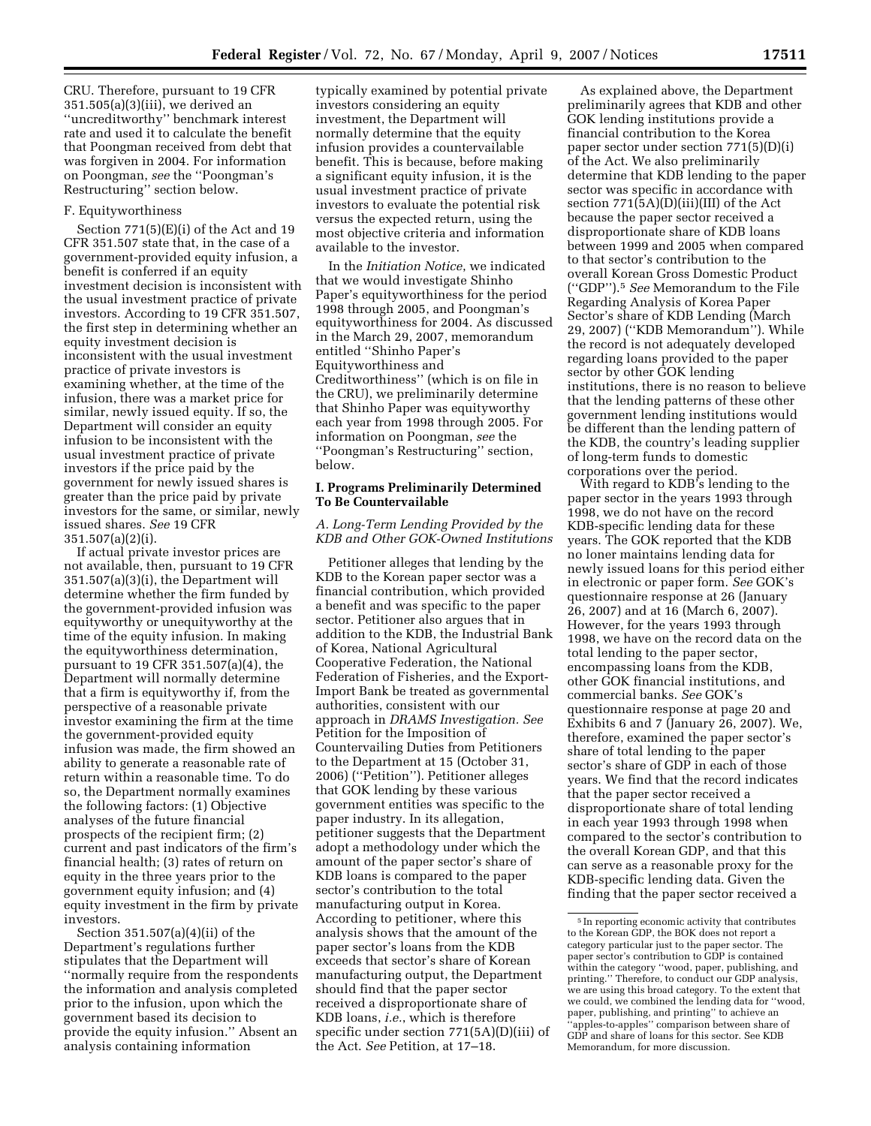CRU. Therefore, pursuant to 19 CFR 351.505(a)(3)(iii), we derived an ''uncreditworthy'' benchmark interest rate and used it to calculate the benefit that Poongman received from debt that was forgiven in 2004. For information on Poongman, *see* the ''Poongman's

## F. Equityworthiness

Restructuring'' section below.

Section 771(5)(E)(i) of the Act and 19 CFR 351.507 state that, in the case of a government-provided equity infusion, a benefit is conferred if an equity investment decision is inconsistent with the usual investment practice of private investors. According to 19 CFR 351.507, the first step in determining whether an equity investment decision is inconsistent with the usual investment practice of private investors is examining whether, at the time of the infusion, there was a market price for similar, newly issued equity. If so, the Department will consider an equity infusion to be inconsistent with the usual investment practice of private investors if the price paid by the government for newly issued shares is greater than the price paid by private investors for the same, or similar, newly issued shares. *See* 19 CFR 351.507(a)(2)(i).

If actual private investor prices are not available, then, pursuant to 19 CFR 351.507(a)(3)(i), the Department will determine whether the firm funded by the government-provided infusion was equityworthy or unequityworthy at the time of the equity infusion. In making the equityworthiness determination, pursuant to 19 CFR 351.507(a)(4), the Department will normally determine that a firm is equityworthy if, from the perspective of a reasonable private investor examining the firm at the time the government-provided equity infusion was made, the firm showed an ability to generate a reasonable rate of return within a reasonable time. To do so, the Department normally examines the following factors: (1) Objective analyses of the future financial prospects of the recipient firm; (2) current and past indicators of the firm's financial health; (3) rates of return on equity in the three years prior to the government equity infusion; and (4) equity investment in the firm by private investors.

Section 351.507(a)(4)(ii) of the Department's regulations further stipulates that the Department will ''normally require from the respondents the information and analysis completed prior to the infusion, upon which the government based its decision to provide the equity infusion.'' Absent an analysis containing information

typically examined by potential private investors considering an equity investment, the Department will normally determine that the equity infusion provides a countervailable benefit. This is because, before making a significant equity infusion, it is the usual investment practice of private investors to evaluate the potential risk versus the expected return, using the most objective criteria and information available to the investor.

In the *Initiation Notice*, we indicated that we would investigate Shinho Paper's equityworthiness for the period 1998 through 2005, and Poongman's equityworthiness for 2004. As discussed in the March 29, 2007, memorandum entitled ''Shinho Paper's Equityworthiness and Creditworthiness'' (which is on file in the CRU), we preliminarily determine that Shinho Paper was equityworthy each year from 1998 through 2005. For information on Poongman, *see* the ''Poongman's Restructuring'' section, below.

### **I. Programs Preliminarily Determined To Be Countervailable**

*A. Long-Term Lending Provided by the KDB and Other GOK-Owned Institutions* 

Petitioner alleges that lending by the KDB to the Korean paper sector was a financial contribution, which provided a benefit and was specific to the paper sector. Petitioner also argues that in addition to the KDB, the Industrial Bank of Korea, National Agricultural Cooperative Federation, the National Federation of Fisheries, and the Export-Import Bank be treated as governmental authorities, consistent with our approach in *DRAMS Investigation. See*  Petition for the Imposition of Countervailing Duties from Petitioners to the Department at 15 (October 31, 2006) (''Petition''). Petitioner alleges that GOK lending by these various government entities was specific to the paper industry. In its allegation, petitioner suggests that the Department adopt a methodology under which the amount of the paper sector's share of KDB loans is compared to the paper sector's contribution to the total manufacturing output in Korea. According to petitioner, where this analysis shows that the amount of the paper sector's loans from the KDB exceeds that sector's share of Korean manufacturing output, the Department should find that the paper sector received a disproportionate share of KDB loans, *i.e.*, which is therefore specific under section 771(5A)(D)(iii) of the Act. *See* Petition, at 17–18.

As explained above, the Department preliminarily agrees that KDB and other GOK lending institutions provide a financial contribution to the Korea paper sector under section 771(5)(D)(i) of the Act. We also preliminarily determine that KDB lending to the paper sector was specific in accordance with section 771(5A)(D)(iii)(III) of the Act because the paper sector received a disproportionate share of KDB loans between 1999 and 2005 when compared to that sector's contribution to the overall Korean Gross Domestic Product (''GDP'').5 *See* Memorandum to the File Regarding Analysis of Korea Paper Sector's share of KDB Lending (March 29, 2007) (''KDB Memorandum''). While the record is not adequately developed regarding loans provided to the paper sector by other GOK lending institutions, there is no reason to believe that the lending patterns of these other government lending institutions would be different than the lending pattern of the KDB, the country's leading supplier of long-term funds to domestic corporations over the period.

With regard to KDB's lending to the paper sector in the years 1993 through 1998, we do not have on the record KDB-specific lending data for these years. The GOK reported that the KDB no loner maintains lending data for newly issued loans for this period either in electronic or paper form. *See* GOK's questionnaire response at 26 (January 26, 2007) and at 16 (March 6, 2007). However, for the years 1993 through 1998, we have on the record data on the total lending to the paper sector, encompassing loans from the KDB, other GOK financial institutions, and commercial banks. *See* GOK's questionnaire response at page 20 and Exhibits 6 and 7 (January 26, 2007). We, therefore, examined the paper sector's share of total lending to the paper sector's share of GDP in each of those years. We find that the record indicates that the paper sector received a disproportionate share of total lending in each year 1993 through 1998 when compared to the sector's contribution to the overall Korean GDP, and that this can serve as a reasonable proxy for the KDB-specific lending data. Given the finding that the paper sector received a

<sup>5</sup> In reporting economic activity that contributes to the Korean GDP, the BOK does not report a category particular just to the paper sector. The paper sector's contribution to GDP is contained within the category ''wood, paper, publishing, and printing.'' Therefore, to conduct our GDP analysis, we are using this broad category. To the extent that we could, we combined the lending data for ''wood, paper, publishing, and printing'' to achieve an ''apples-to-apples'' comparison between share of GDP and share of loans for this sector. See KDB Memorandum, for more discussion.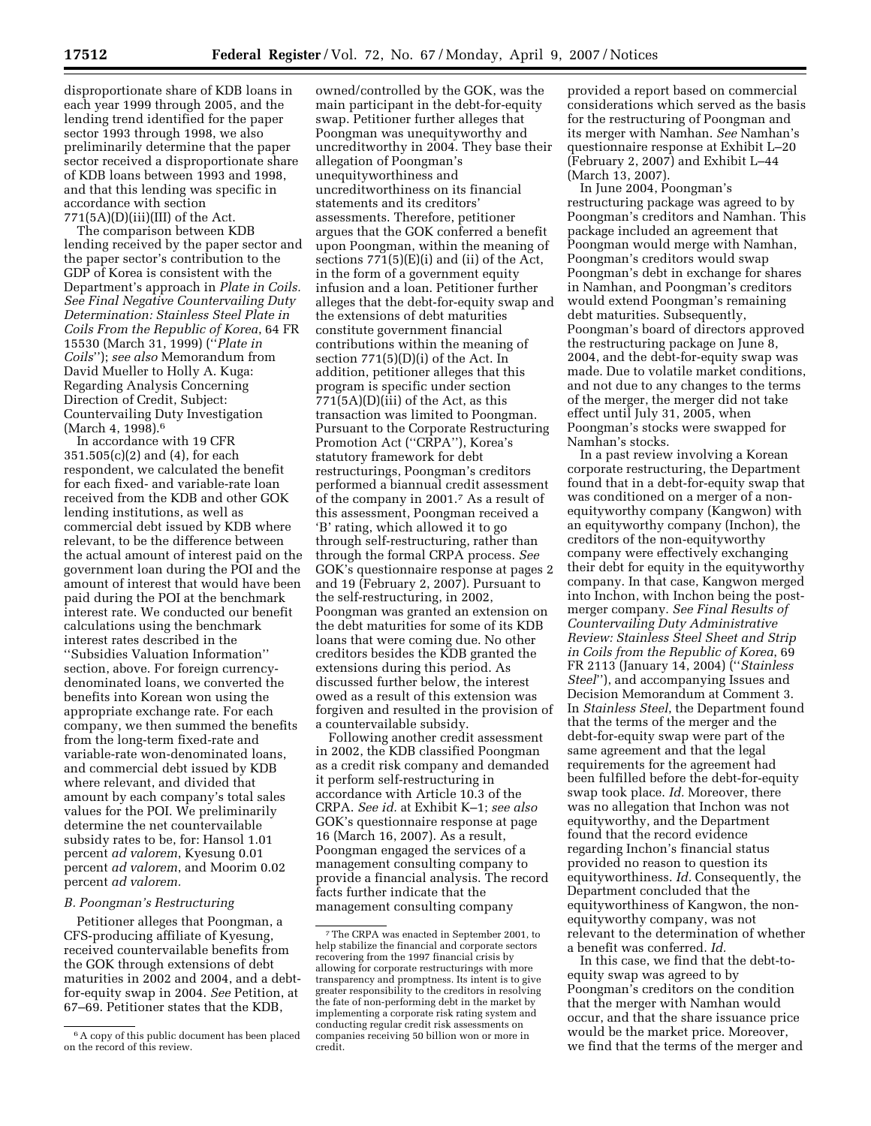disproportionate share of KDB loans in each year 1999 through 2005, and the lending trend identified for the paper sector 1993 through 1998, we also preliminarily determine that the paper sector received a disproportionate share of KDB loans between 1993 and 1998, and that this lending was specific in accordance with section  $771(5A)(D)(iii)(III)$  of the Act.

The comparison between KDB lending received by the paper sector and the paper sector's contribution to the GDP of Korea is consistent with the Department's approach in *Plate in Coils. See Final Negative Countervailing Duty Determination: Stainless Steel Plate in Coils From the Republic of Korea*, 64 FR 15530 (March 31, 1999) (''*Plate in Coils*''); *see also* Memorandum from David Mueller to Holly A. Kuga: Regarding Analysis Concerning Direction of Credit, Subject: Countervailing Duty Investigation (March 4, 1998).<sup>6</sup>

In accordance with 19 CFR 351.505(c)(2) and (4), for each respondent, we calculated the benefit for each fixed- and variable-rate loan received from the KDB and other GOK lending institutions, as well as commercial debt issued by KDB where relevant, to be the difference between the actual amount of interest paid on the government loan during the POI and the amount of interest that would have been paid during the POI at the benchmark interest rate. We conducted our benefit calculations using the benchmark interest rates described in the ''Subsidies Valuation Information'' section, above. For foreign currencydenominated loans, we converted the benefits into Korean won using the appropriate exchange rate. For each company, we then summed the benefits from the long-term fixed-rate and variable-rate won-denominated loans, and commercial debt issued by KDB where relevant, and divided that amount by each company's total sales values for the POI. We preliminarily determine the net countervailable subsidy rates to be, for: Hansol 1.01 percent *ad valorem*, Kyesung 0.01 percent *ad valorem*, and Moorim 0.02 percent *ad valorem.* 

#### *B. Poongman's Restructuring*

Petitioner alleges that Poongman, a CFS-producing affiliate of Kyesung, received countervailable benefits from the GOK through extensions of debt maturities in 2002 and 2004, and a debtfor-equity swap in 2004. *See* Petition, at 67–69. Petitioner states that the KDB,

owned/controlled by the GOK, was the main participant in the debt-for-equity swap. Petitioner further alleges that Poongman was unequityworthy and uncreditworthy in 2004. They base their allegation of Poongman's unequityworthiness and uncreditworthiness on its financial statements and its creditors' assessments. Therefore, petitioner argues that the GOK conferred a benefit upon Poongman, within the meaning of sections 771(5)(E)(i) and (ii) of the Act, in the form of a government equity infusion and a loan. Petitioner further alleges that the debt-for-equity swap and the extensions of debt maturities constitute government financial contributions within the meaning of section 771(5)(D)(i) of the Act. In addition, petitioner alleges that this program is specific under section  $771(5A)(D)(iii)$  of the Act, as this transaction was limited to Poongman. Pursuant to the Corporate Restructuring Promotion Act (''CRPA''), Korea's statutory framework for debt restructurings, Poongman's creditors performed a biannual credit assessment of the company in 2001.7 As a result of this assessment, Poongman received a 'B' rating, which allowed it to go through self-restructuring, rather than through the formal CRPA process. *See*  GOK's questionnaire response at pages 2 and 19 (February 2, 2007). Pursuant to the self-restructuring, in 2002, Poongman was granted an extension on the debt maturities for some of its KDB loans that were coming due. No other creditors besides the KDB granted the extensions during this period. As discussed further below, the interest owed as a result of this extension was forgiven and resulted in the provision of a countervailable subsidy.

Following another credit assessment in 2002, the KDB classified Poongman as a credit risk company and demanded it perform self-restructuring in accordance with Article 10.3 of the CRPA. *See id.* at Exhibit K–1; *see also*  GOK's questionnaire response at page 16 (March 16, 2007). As a result, Poongman engaged the services of a management consulting company to provide a financial analysis. The record facts further indicate that the management consulting company

provided a report based on commercial considerations which served as the basis for the restructuring of Poongman and its merger with Namhan. *See* Namhan's questionnaire response at Exhibit L–20 (February 2, 2007) and Exhibit L–44 (March 13, 2007).

In June 2004, Poongman's restructuring package was agreed to by Poongman's creditors and Namhan. This package included an agreement that Poongman would merge with Namhan, Poongman's creditors would swap Poongman's debt in exchange for shares in Namhan, and Poongman's creditors would extend Poongman's remaining debt maturities. Subsequently, Poongman's board of directors approved the restructuring package on June 8, 2004, and the debt-for-equity swap was made. Due to volatile market conditions, and not due to any changes to the terms of the merger, the merger did not take effect until July 31, 2005, when Poongman's stocks were swapped for Namhan's stocks.

In a past review involving a Korean corporate restructuring, the Department found that in a debt-for-equity swap that was conditioned on a merger of a nonequityworthy company (Kangwon) with an equityworthy company (Inchon), the creditors of the non-equityworthy company were effectively exchanging their debt for equity in the equityworthy company. In that case, Kangwon merged into Inchon, with Inchon being the postmerger company. *See Final Results of Countervailing Duty Administrative Review: Stainless Steel Sheet and Strip in Coils from the Republic of Korea*, 69 FR 2113 (January 14, 2004) (''*Stainless Steel*''), and accompanying Issues and Decision Memorandum at Comment 3. In *Stainless Steel*, the Department found that the terms of the merger and the debt-for-equity swap were part of the same agreement and that the legal requirements for the agreement had been fulfilled before the debt-for-equity swap took place. *Id.* Moreover, there was no allegation that Inchon was not equityworthy, and the Department found that the record evidence regarding Inchon's financial status provided no reason to question its equityworthiness. *Id.* Consequently, the Department concluded that the equityworthiness of Kangwon, the nonequityworthy company, was not relevant to the determination of whether a benefit was conferred. *Id.* 

In this case, we find that the debt-toequity swap was agreed to by Poongman's creditors on the condition that the merger with Namhan would occur, and that the share issuance price would be the market price. Moreover, we find that the terms of the merger and

<sup>6</sup>A copy of this public document has been placed on the record of this review.

<sup>7</sup>The CRPA was enacted in September 2001, to help stabilize the financial and corporate sectors recovering from the 1997 financial crisis by allowing for corporate restructurings with more transparency and promptness. Its intent is to give greater responsibility to the creditors in resolving the fate of non-performing debt in the market by implementing a corporate risk rating system and conducting regular credit risk assessments on companies receiving 50 billion won or more in credit.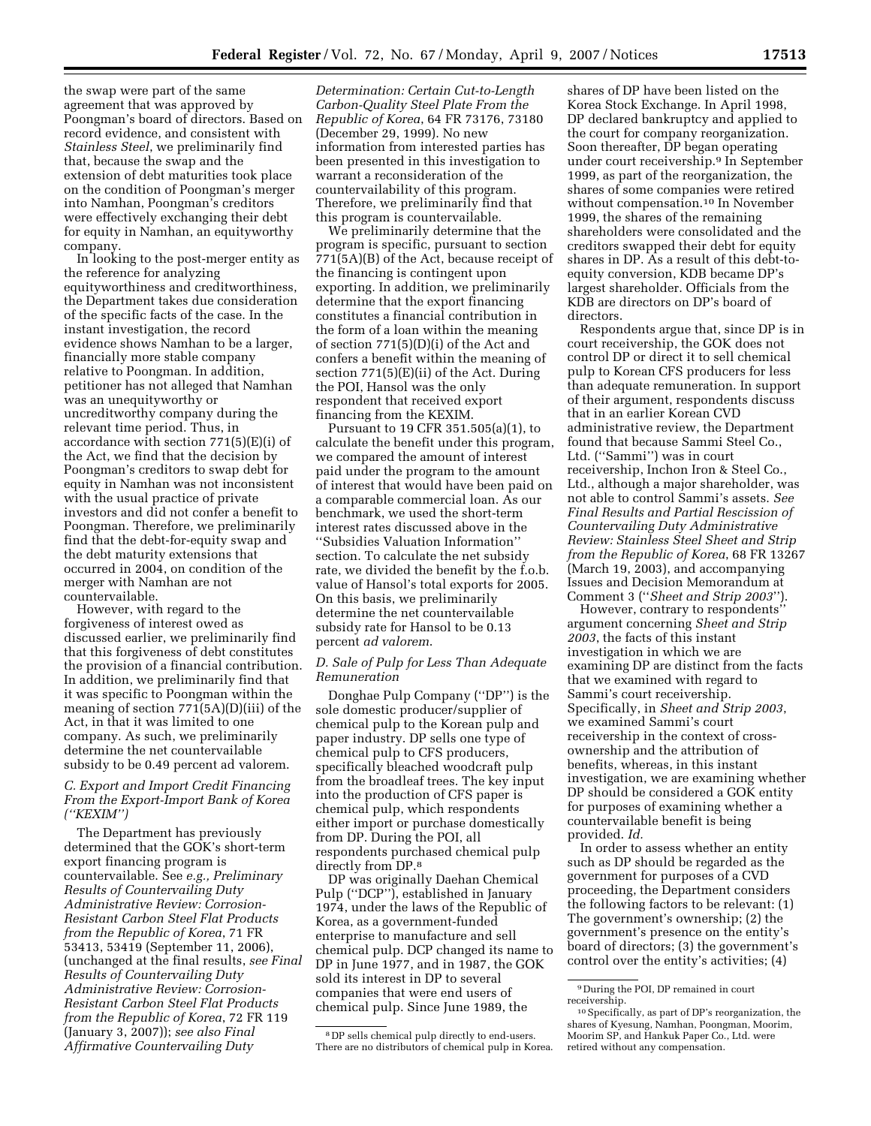the swap were part of the same agreement that was approved by Poongman's board of directors. Based on record evidence, and consistent with *Stainless Steel*, we preliminarily find that, because the swap and the extension of debt maturities took place on the condition of Poongman's merger into Namhan, Poongman's creditors were effectively exchanging their debt for equity in Namhan, an equityworthy company.

In looking to the post-merger entity as the reference for analyzing equityworthiness and creditworthiness, the Department takes due consideration of the specific facts of the case. In the instant investigation, the record evidence shows Namhan to be a larger, financially more stable company relative to Poongman. In addition, petitioner has not alleged that Namhan was an unequityworthy or uncreditworthy company during the relevant time period. Thus, in accordance with section 771(5)(E)(i) of the Act, we find that the decision by Poongman's creditors to swap debt for equity in Namhan was not inconsistent with the usual practice of private investors and did not confer a benefit to Poongman. Therefore, we preliminarily find that the debt-for-equity swap and the debt maturity extensions that occurred in 2004, on condition of the merger with Namhan are not countervailable.

However, with regard to the forgiveness of interest owed as discussed earlier, we preliminarily find that this forgiveness of debt constitutes the provision of a financial contribution. In addition, we preliminarily find that it was specific to Poongman within the meaning of section 771(5A)(D)(iii) of the Act, in that it was limited to one company. As such, we preliminarily determine the net countervailable subsidy to be 0.49 percent ad valorem.

## *C. Export and Import Credit Financing From the Export-Import Bank of Korea (''KEXIM'')*

The Department has previously determined that the GOK's short-term export financing program is countervailable. See *e.g., Preliminary Results of Countervailing Duty Administrative Review: Corrosion-Resistant Carbon Steel Flat Products from the Republic of Korea*, 71 FR 53413, 53419 (September 11, 2006), (unchanged at the final results, *see Final Results of Countervailing Duty Administrative Review: Corrosion-Resistant Carbon Steel Flat Products from the Republic of Korea*, 72 FR 119 (January 3, 2007)); *see also Final Affirmative Countervailing Duty* 

*Determination: Certain Cut-to-Length Carbon-Quality Steel Plate From the Republic of Korea*, 64 FR 73176, 73180 (December 29, 1999). No new information from interested parties has been presented in this investigation to warrant a reconsideration of the countervailability of this program. Therefore, we preliminarily find that this program is countervailable.

We preliminarily determine that the program is specific, pursuant to section 771(5A)(B) of the Act, because receipt of the financing is contingent upon exporting. In addition, we preliminarily determine that the export financing constitutes a financial contribution in the form of a loan within the meaning of section 771(5)(D)(i) of the Act and confers a benefit within the meaning of section 771(5)(E)(ii) of the Act. During the POI, Hansol was the only respondent that received export financing from the KEXIM.

Pursuant to 19 CFR 351.505(a)(1), to calculate the benefit under this program, we compared the amount of interest paid under the program to the amount of interest that would have been paid on a comparable commercial loan. As our benchmark, we used the short-term interest rates discussed above in the ''Subsidies Valuation Information'' section. To calculate the net subsidy rate, we divided the benefit by the f.o.b. value of Hansol's total exports for 2005. On this basis, we preliminarily determine the net countervailable subsidy rate for Hansol to be 0.13 percent *ad valorem*.

## *D. Sale of Pulp for Less Than Adequate Remuneration*

Donghae Pulp Company (''DP'') is the sole domestic producer/supplier of chemical pulp to the Korean pulp and paper industry. DP sells one type of chemical pulp to CFS producers, specifically bleached woodcraft pulp from the broadleaf trees. The key input into the production of CFS paper is chemical pulp, which respondents either import or purchase domestically from DP. During the POI, all respondents purchased chemical pulp directly from DP.8

DP was originally Daehan Chemical Pulp (''DCP''), established in January 1974, under the laws of the Republic of Korea, as a government-funded enterprise to manufacture and sell chemical pulp. DCP changed its name to DP in June 1977, and in 1987, the GOK sold its interest in DP to several companies that were end users of chemical pulp. Since June 1989, the

shares of DP have been listed on the Korea Stock Exchange. In April 1998, DP declared bankruptcy and applied to the court for company reorganization. Soon thereafter, DP began operating under court receivership.9 In September 1999, as part of the reorganization, the shares of some companies were retired without compensation.10 In November 1999, the shares of the remaining shareholders were consolidated and the creditors swapped their debt for equity shares in DP. As a result of this debt-toequity conversion, KDB became DP's largest shareholder. Officials from the KDB are directors on DP's board of directors.

Respondents argue that, since DP is in court receivership, the GOK does not control DP or direct it to sell chemical pulp to Korean CFS producers for less than adequate remuneration. In support of their argument, respondents discuss that in an earlier Korean CVD administrative review, the Department found that because Sammi Steel Co., Ltd. (''Sammi'') was in court receivership, Inchon Iron & Steel Co., Ltd., although a major shareholder, was not able to control Sammi's assets. *See Final Results and Partial Rescission of Countervailing Duty Administrative Review: Stainless Steel Sheet and Strip from the Republic of Korea*, 68 FR 13267 (March 19, 2003), and accompanying Issues and Decision Memorandum at Comment 3 (''*Sheet and Strip 2003*'').

However, contrary to respondents'' argument concerning *Sheet and Strip 2003*, the facts of this instant investigation in which we are examining DP are distinct from the facts that we examined with regard to Sammi's court receivership. Specifically, in *Sheet and Strip 2003*, we examined Sammi's court receivership in the context of crossownership and the attribution of benefits, whereas, in this instant investigation, we are examining whether DP should be considered a GOK entity for purposes of examining whether a countervailable benefit is being provided. *Id.* 

In order to assess whether an entity such as DP should be regarded as the government for purposes of a CVD proceeding, the Department considers the following factors to be relevant: (1) The government's ownership; (2) the government's presence on the entity's board of directors; (3) the government's control over the entity's activities; (4)

<sup>8</sup> DP sells chemical pulp directly to end-users. There are no distributors of chemical pulp in Korea.

<sup>9</sup> During the POI, DP remained in court receivership.

<sup>10</sup>Specifically, as part of DP's reorganization, the shares of Kyesung, Namhan, Poongman, Moorim, Moorim SP, and Hankuk Paper Co., Ltd. were retired without any compensation.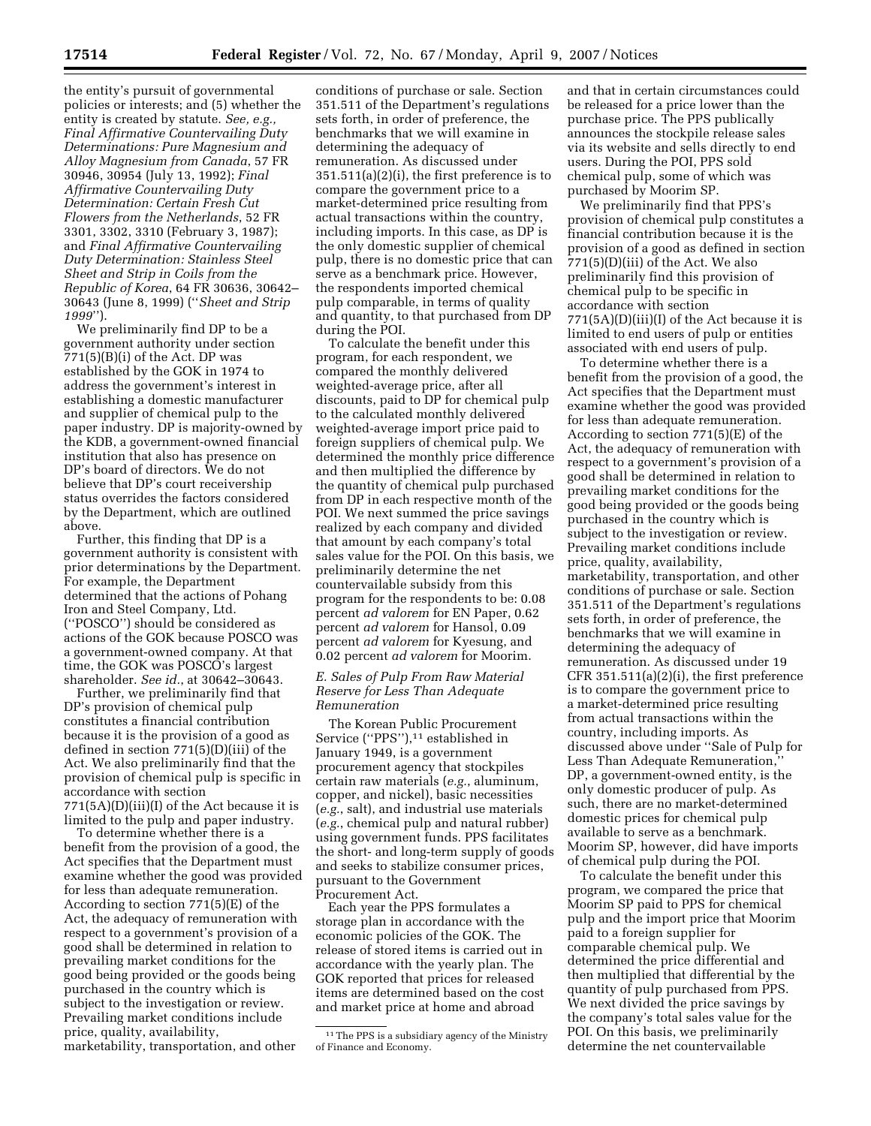the entity's pursuit of governmental policies or interests; and (5) whether the entity is created by statute. *See, e.g., Final Affirmative Countervailing Duty Determinations: Pure Magnesium and Alloy Magnesium from Canada*, 57 FR 30946, 30954 (July 13, 1992); *Final Affirmative Countervailing Duty Determination: Certain Fresh Cut Flowers from the Netherlands*, 52 FR 3301, 3302, 3310 (February 3, 1987); and *Final Affirmative Countervailing Duty Determination: Stainless Steel Sheet and Strip in Coils from the Republic of Korea*, 64 FR 30636, 30642– 30643 (June 8, 1999) (''*Sheet and Strip 1999*'').

We preliminarily find DP to be a government authority under section 771(5)(B)(i) of the Act. DP was established by the GOK in 1974 to address the government's interest in establishing a domestic manufacturer and supplier of chemical pulp to the paper industry. DP is majority-owned by the KDB, a government-owned financial institution that also has presence on DP's board of directors. We do not believe that DP's court receivership status overrides the factors considered by the Department, which are outlined above.

Further, this finding that DP is a government authority is consistent with prior determinations by the Department. For example, the Department determined that the actions of Pohang Iron and Steel Company, Ltd. (''POSCO'') should be considered as actions of the GOK because POSCO was a government-owned company. At that time, the GOK was POSCO's largest shareholder. *See id.*, at 30642–30643.

Further, we preliminarily find that DP's provision of chemical pulp constitutes a financial contribution because it is the provision of a good as defined in section 771(5)(D)(iii) of the Act. We also preliminarily find that the provision of chemical pulp is specific in accordance with section 771(5A)(D)(iii)(I) of the Act because it is limited to the pulp and paper industry.

To determine whether there is a benefit from the provision of a good, the Act specifies that the Department must examine whether the good was provided for less than adequate remuneration. According to section 771(5)(E) of the Act, the adequacy of remuneration with respect to a government's provision of a good shall be determined in relation to prevailing market conditions for the good being provided or the goods being purchased in the country which is subject to the investigation or review. Prevailing market conditions include price, quality, availability, marketability, transportation, and other

conditions of purchase or sale. Section 351.511 of the Department's regulations sets forth, in order of preference, the benchmarks that we will examine in determining the adequacy of remuneration. As discussed under 351.511(a)(2)(i), the first preference is to compare the government price to a market-determined price resulting from actual transactions within the country, including imports. In this case, as DP is the only domestic supplier of chemical pulp, there is no domestic price that can serve as a benchmark price. However, the respondents imported chemical pulp comparable, in terms of quality and quantity, to that purchased from DP during the POI.

To calculate the benefit under this program, for each respondent, we compared the monthly delivered weighted-average price, after all discounts, paid to DP for chemical pulp to the calculated monthly delivered weighted-average import price paid to foreign suppliers of chemical pulp. We determined the monthly price difference and then multiplied the difference by the quantity of chemical pulp purchased from DP in each respective month of the POI. We next summed the price savings realized by each company and divided that amount by each company's total sales value for the POI. On this basis, we preliminarily determine the net countervailable subsidy from this program for the respondents to be: 0.08 percent *ad valorem* for EN Paper, 0.62 percent *ad valorem* for Hansol, 0.09 percent *ad valorem* for Kyesung, and 0.02 percent *ad valorem* for Moorim.

### *E. Sales of Pulp From Raw Material Reserve for Less Than Adequate Remuneration*

The Korean Public Procurement Service ("PPS"),<sup>11</sup> established in January 1949, is a government procurement agency that stockpiles certain raw materials (*e.g.*, aluminum, copper, and nickel), basic necessities (*e.g.*, salt), and industrial use materials (*e.g.*, chemical pulp and natural rubber) using government funds. PPS facilitates the short- and long-term supply of goods and seeks to stabilize consumer prices, pursuant to the Government Procurement Act.

Each year the PPS formulates a storage plan in accordance with the economic policies of the GOK. The release of stored items is carried out in accordance with the yearly plan. The GOK reported that prices for released items are determined based on the cost and market price at home and abroad

and that in certain circumstances could be released for a price lower than the purchase price. The PPS publically announces the stockpile release sales via its website and sells directly to end users. During the POI, PPS sold chemical pulp, some of which was purchased by Moorim SP.

We preliminarily find that PPS's provision of chemical pulp constitutes a financial contribution because it is the provision of a good as defined in section 771(5)(D)(iii) of the Act. We also preliminarily find this provision of chemical pulp to be specific in accordance with section 771(5A)(D)(iii)(I) of the Act because it is limited to end users of pulp or entities associated with end users of pulp.

To determine whether there is a benefit from the provision of a good, the Act specifies that the Department must examine whether the good was provided for less than adequate remuneration. According to section 771(5)(E) of the Act, the adequacy of remuneration with respect to a government's provision of a good shall be determined in relation to prevailing market conditions for the good being provided or the goods being purchased in the country which is subject to the investigation or review. Prevailing market conditions include price, quality, availability, marketability, transportation, and other conditions of purchase or sale. Section 351.511 of the Department's regulations sets forth, in order of preference, the benchmarks that we will examine in determining the adequacy of remuneration. As discussed under 19 CFR 351.511(a)(2)(i), the first preference is to compare the government price to a market-determined price resulting from actual transactions within the country, including imports. As discussed above under ''Sale of Pulp for Less Than Adequate Remuneration, DP, a government-owned entity, is the only domestic producer of pulp. As such, there are no market-determined domestic prices for chemical pulp available to serve as a benchmark. Moorim SP, however, did have imports of chemical pulp during the POI.

To calculate the benefit under this program, we compared the price that Moorim SP paid to PPS for chemical pulp and the import price that Moorim paid to a foreign supplier for comparable chemical pulp. We determined the price differential and then multiplied that differential by the quantity of pulp purchased from PPS. We next divided the price savings by the company's total sales value for the POI. On this basis, we preliminarily determine the net countervailable

<sup>&</sup>lt;sup>11</sup> The PPS is a subsidiary agency of the Ministry of Finance and Economy.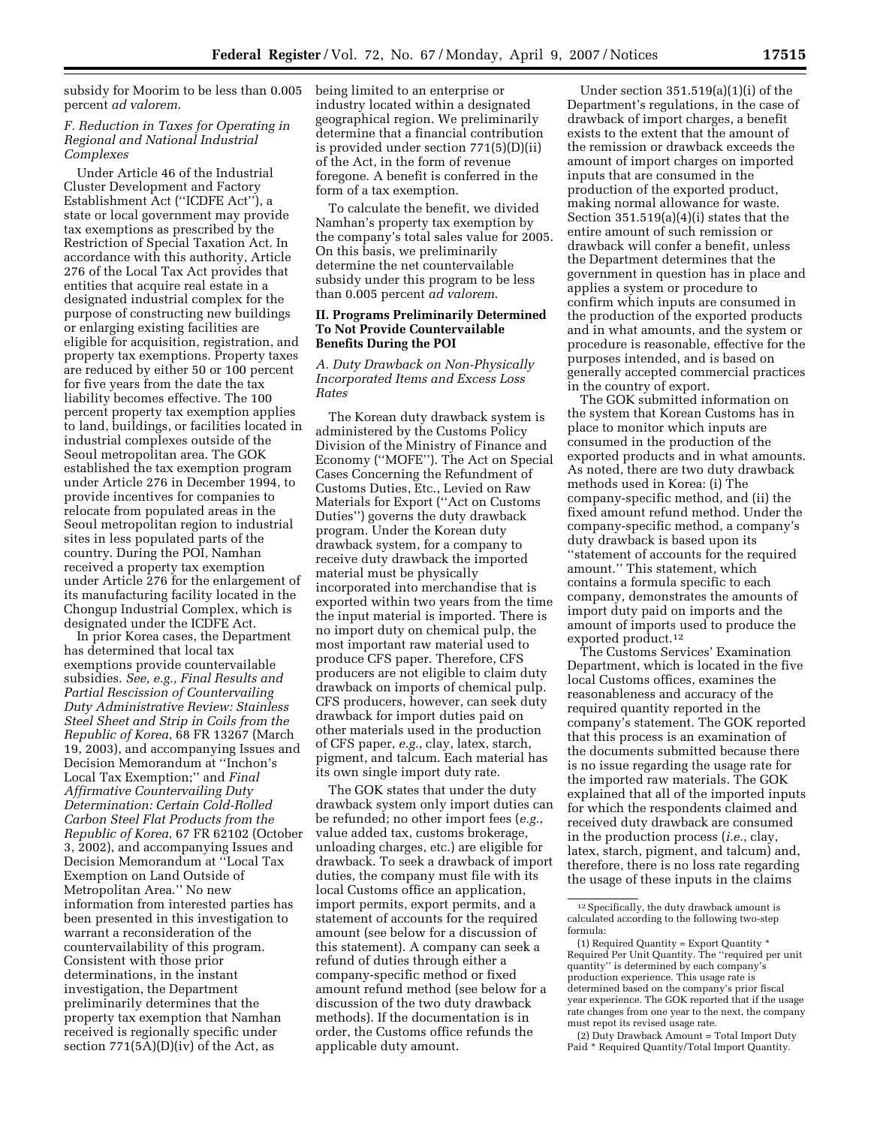subsidy for Moorim to be less than 0.005 percent *ad valorem*.

## *F. Reduction in Taxes for Operating in Regional and National Industrial Complexes*

Under Article 46 of the Industrial Cluster Development and Factory Establishment Act (''ICDFE Act''), a state or local government may provide tax exemptions as prescribed by the Restriction of Special Taxation Act. In accordance with this authority, Article 276 of the Local Tax Act provides that entities that acquire real estate in a designated industrial complex for the purpose of constructing new buildings or enlarging existing facilities are eligible for acquisition, registration, and property tax exemptions. Property taxes are reduced by either 50 or 100 percent for five years from the date the tax liability becomes effective. The 100 percent property tax exemption applies to land, buildings, or facilities located in industrial complexes outside of the Seoul metropolitan area. The GOK established the tax exemption program under Article 276 in December 1994, to provide incentives for companies to relocate from populated areas in the Seoul metropolitan region to industrial sites in less populated parts of the country. During the POI, Namhan received a property tax exemption under Article 276 for the enlargement of its manufacturing facility located in the Chongup Industrial Complex, which is designated under the ICDFE Act.

In prior Korea cases, the Department has determined that local tax exemptions provide countervailable subsidies. *See, e.g., Final Results and Partial Rescission of Countervailing Duty Administrative Review: Stainless Steel Sheet and Strip in Coils from the Republic of Korea*, 68 FR 13267 (March 19, 2003), and accompanying Issues and Decision Memorandum at ''Inchon's Local Tax Exemption;'' and *Final Affirmative Countervailing Duty Determination: Certain Cold-Rolled Carbon Steel Flat Products from the Republic of Korea*, 67 FR 62102 (October 3, 2002), and accompanying Issues and Decision Memorandum at ''Local Tax Exemption on Land Outside of Metropolitan Area.'' No new information from interested parties has been presented in this investigation to warrant a reconsideration of the countervailability of this program. Consistent with those prior determinations, in the instant investigation, the Department preliminarily determines that the property tax exemption that Namhan received is regionally specific under section  $771(5A)(D)(iv)$  of the Act, as

being limited to an enterprise or industry located within a designated geographical region. We preliminarily determine that a financial contribution is provided under section 771(5)(D)(ii) of the Act, in the form of revenue foregone. A benefit is conferred in the form of a tax exemption.

To calculate the benefit, we divided Namhan's property tax exemption by the company's total sales value for 2005. On this basis, we preliminarily determine the net countervailable subsidy under this program to be less than 0.005 percent *ad valorem*.

### **II. Programs Preliminarily Determined To Not Provide Countervailable Benefits During the POI**

## *A. Duty Drawback on Non-Physically Incorporated Items and Excess Loss Rates*

The Korean duty drawback system is administered by the Customs Policy Division of the Ministry of Finance and Economy (''MOFE''). The Act on Special Cases Concerning the Refundment of Customs Duties, Etc., Levied on Raw Materials for Export (''Act on Customs Duties'') governs the duty drawback program. Under the Korean duty drawback system, for a company to receive duty drawback the imported material must be physically incorporated into merchandise that is exported within two years from the time the input material is imported. There is no import duty on chemical pulp, the most important raw material used to produce CFS paper. Therefore, CFS producers are not eligible to claim duty drawback on imports of chemical pulp. CFS producers, however, can seek duty drawback for import duties paid on other materials used in the production of CFS paper, *e.g.*, clay, latex, starch, pigment, and talcum. Each material has its own single import duty rate.

The GOK states that under the duty drawback system only import duties can be refunded; no other import fees (*e.g.*, value added tax, customs brokerage, unloading charges, etc.) are eligible for drawback. To seek a drawback of import duties, the company must file with its local Customs office an application, import permits, export permits, and a statement of accounts for the required amount (see below for a discussion of this statement). A company can seek a refund of duties through either a company-specific method or fixed amount refund method (see below for a discussion of the two duty drawback methods). If the documentation is in order, the Customs office refunds the applicable duty amount.

Under section  $351.519(a)(1)(i)$  of the Department's regulations, in the case of drawback of import charges, a benefit exists to the extent that the amount of the remission or drawback exceeds the amount of import charges on imported inputs that are consumed in the production of the exported product, making normal allowance for waste. Section 351.519(a)(4)(i) states that the entire amount of such remission or drawback will confer a benefit, unless the Department determines that the government in question has in place and applies a system or procedure to confirm which inputs are consumed in the production of the exported products and in what amounts, and the system or procedure is reasonable, effective for the purposes intended, and is based on generally accepted commercial practices in the country of export.

The GOK submitted information on the system that Korean Customs has in place to monitor which inputs are consumed in the production of the exported products and in what amounts. As noted, there are two duty drawback methods used in Korea: (i) The company-specific method, and (ii) the fixed amount refund method. Under the company-specific method, a company's duty drawback is based upon its ''statement of accounts for the required amount.'' This statement, which contains a formula specific to each company, demonstrates the amounts of import duty paid on imports and the amount of imports used to produce the exported product.12

The Customs Services' Examination Department, which is located in the five local Customs offices, examines the reasonableness and accuracy of the required quantity reported in the company's statement. The GOK reported that this process is an examination of the documents submitted because there is no issue regarding the usage rate for the imported raw materials. The GOK explained that all of the imported inputs for which the respondents claimed and received duty drawback are consumed in the production process (*i.e.*, clay, latex, starch, pigment, and talcum) and, therefore, there is no loss rate regarding the usage of these inputs in the claims

(2) Duty Drawback Amount = Total Import Duty Paid \* Required Quantity/Total Import Quantity.

<sup>12</sup>Specifically, the duty drawback amount is calculated according to the following two-step formula:

<sup>(1)</sup> Required Quantity = Export Quantity \* Required Per Unit Quantity. The ''required per unit quantity'' is determined by each company's production experience. This usage rate is determined based on the company's prior fiscal year experience. The GOK reported that if the usage rate changes from one year to the next, the company must repot its revised usage rate.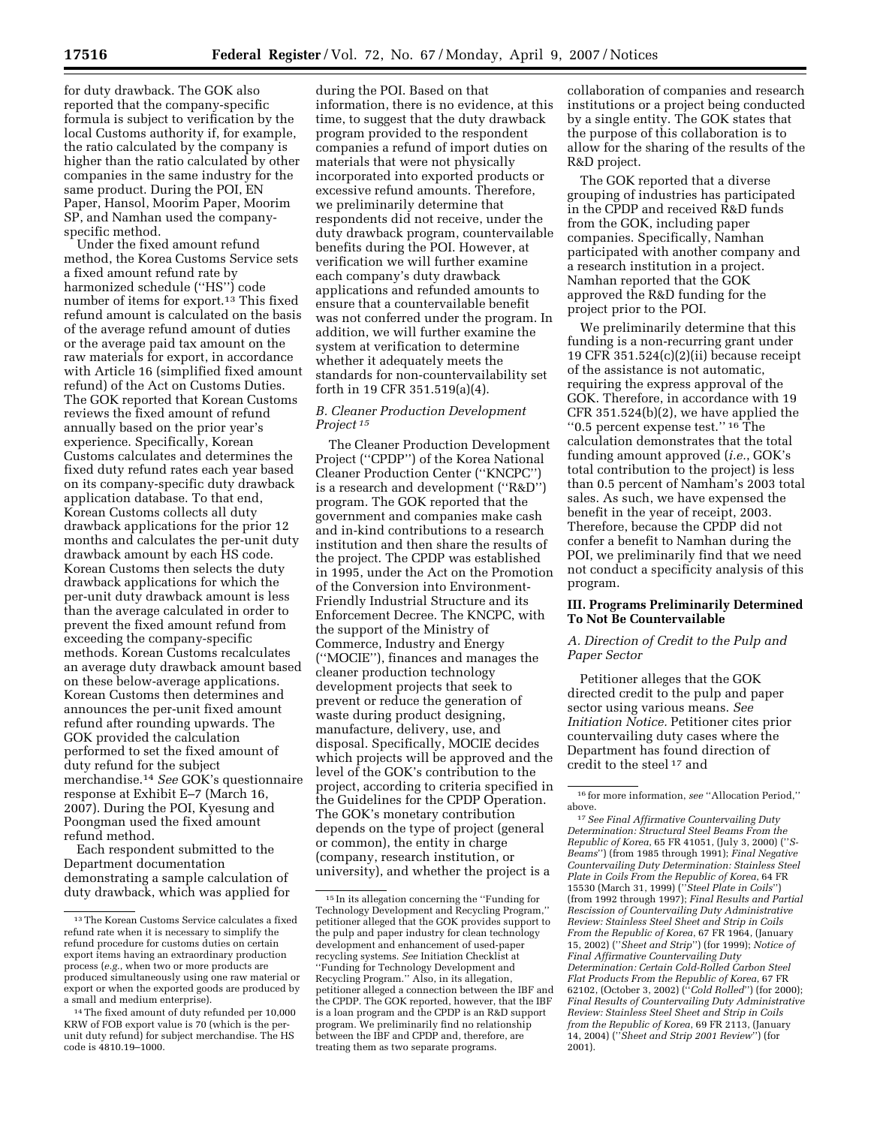for duty drawback. The GOK also reported that the company-specific formula is subject to verification by the local Customs authority if, for example, the ratio calculated by the company is higher than the ratio calculated by other companies in the same industry for the same product. During the POI, EN Paper, Hansol, Moorim Paper, Moorim SP, and Namhan used the companyspecific method.

Under the fixed amount refund method, the Korea Customs Service sets a fixed amount refund rate by harmonized schedule (''HS'') code number of items for export.13 This fixed refund amount is calculated on the basis of the average refund amount of duties or the average paid tax amount on the raw materials for export, in accordance with Article 16 (simplified fixed amount refund) of the Act on Customs Duties. The GOK reported that Korean Customs reviews the fixed amount of refund annually based on the prior year's experience. Specifically, Korean Customs calculates and determines the fixed duty refund rates each year based on its company-specific duty drawback application database. To that end, Korean Customs collects all duty drawback applications for the prior 12 months and calculates the per-unit duty drawback amount by each HS code. Korean Customs then selects the duty drawback applications for which the per-unit duty drawback amount is less than the average calculated in order to prevent the fixed amount refund from exceeding the company-specific methods. Korean Customs recalculates an average duty drawback amount based on these below-average applications. Korean Customs then determines and announces the per-unit fixed amount refund after rounding upwards. The GOK provided the calculation performed to set the fixed amount of duty refund for the subject merchandise.14 *See* GOK's questionnaire response at Exhibit E–7 (March 16, 2007). During the POI, Kyesung and Poongman used the fixed amount refund method.

Each respondent submitted to the Department documentation demonstrating a sample calculation of duty drawback, which was applied for

during the POI. Based on that information, there is no evidence, at this time, to suggest that the duty drawback program provided to the respondent companies a refund of import duties on materials that were not physically incorporated into exported products or excessive refund amounts. Therefore, we preliminarily determine that respondents did not receive, under the duty drawback program, countervailable benefits during the POI. However, at verification we will further examine each company's duty drawback applications and refunded amounts to ensure that a countervailable benefit was not conferred under the program. In addition, we will further examine the system at verification to determine whether it adequately meets the standards for non-countervailability set forth in 19 CFR 351.519(a)(4).

## *B. Cleaner Production Development Project 15*

The Cleaner Production Development Project (''CPDP'') of the Korea National Cleaner Production Center (''KNCPC'') is a research and development (''R&D'') program. The GOK reported that the government and companies make cash and in-kind contributions to a research institution and then share the results of the project. The CPDP was established in 1995, under the Act on the Promotion of the Conversion into Environment-Friendly Industrial Structure and its Enforcement Decree. The KNCPC, with the support of the Ministry of Commerce, Industry and Energy (''MOCIE''), finances and manages the cleaner production technology development projects that seek to prevent or reduce the generation of waste during product designing, manufacture, delivery, use, and disposal. Specifically, MOCIE decides which projects will be approved and the level of the GOK's contribution to the project, according to criteria specified in the Guidelines for the CPDP Operation. The GOK's monetary contribution depends on the type of project (general or common), the entity in charge (company, research institution, or university), and whether the project is a

collaboration of companies and research institutions or a project being conducted by a single entity. The GOK states that the purpose of this collaboration is to allow for the sharing of the results of the R&D project.

The GOK reported that a diverse grouping of industries has participated in the CPDP and received R&D funds from the GOK, including paper companies. Specifically, Namhan participated with another company and a research institution in a project. Namhan reported that the GOK approved the R&D funding for the project prior to the POI.

We preliminarily determine that this funding is a non-recurring grant under 19 CFR 351.524(c)(2)(ii) because receipt of the assistance is not automatic, requiring the express approval of the GOK. Therefore, in accordance with 19 CFR 351.524(b)(2), we have applied the ''0.5 percent expense test.'' 16 The calculation demonstrates that the total funding amount approved (*i.e.*, GOK's total contribution to the project) is less than 0.5 percent of Namham's 2003 total sales. As such, we have expensed the benefit in the year of receipt, 2003. Therefore, because the CPDP did not confer a benefit to Namhan during the POI, we preliminarily find that we need not conduct a specificity analysis of this program.

## **III. Programs Preliminarily Determined To Not Be Countervailable**

*A. Direction of Credit to the Pulp and Paper Sector* 

Petitioner alleges that the GOK directed credit to the pulp and paper sector using various means. *See Initiation Notice.* Petitioner cites prior countervailing duty cases where the Department has found direction of credit to the steel 17 and

<sup>13</sup>The Korean Customs Service calculates a fixed refund rate when it is necessary to simplify the refund procedure for customs duties on certain export items having an extraordinary production process (*e.g.*, when two or more products are produced simultaneously using one raw material or export or when the exported goods are produced by a small and medium enterprise).

<sup>14</sup>The fixed amount of duty refunded per 10,000 KRW of FOB export value is 70 (which is the perunit duty refund) for subject merchandise. The HS code is 4810.19–1000.

<sup>15</sup> In its allegation concerning the ''Funding for Technology Development and Recycling Program,'' petitioner alleged that the GOK provides support to the pulp and paper industry for clean technology development and enhancement of used-paper recycling systems. *See* Initiation Checklist at ''Funding for Technology Development and Recycling Program.'' Also, in its allegation, petitioner alleged a connection between the IBF and the CPDP. The GOK reported, however, that the IBF is a loan program and the CPDP is an R&D support program. We preliminarily find no relationship between the IBF and CPDP and, therefore, are treating them as two separate programs.

<sup>16</sup> for more information, *see* ''Allocation Period,'' above.

<sup>17</sup>*See Final Affirmative Countervailing Duty Determination: Structural Steel Beams From the Republic of Korea*, 65 FR 41051, (July 3, 2000) (''*S-Beams*'') (from 1985 through 1991); *Final Negative Countervailing Duty Determination: Stainless Steel Plate in Coils From the Republic of Korea*, 64 FR 15530 (March 31, 1999) (''*Steel Plate in Coils*'') (from 1992 through 1997); *Final Results and Partial Rescission of Countervailing Duty Administrative Review: Stainless Steel Sheet and Strip in Coils From the Republic of Korea*, 67 FR 1964, (January 15, 2002) (''*Sheet and Strip*'') (for 1999); *Notice of Final Affirmative Countervailing Duty Determination: Certain Cold-Rolled Carbon Steel Flat Products From the Republic of Korea*, 67 FR 62102, (October 3, 2002) (''*Cold Rolled*'') (for 2000); *Final Results of Countervailing Duty Administrative Review: Stainless Steel Sheet and Strip in Coils from the Republic of Korea*, 69 FR 2113, (January 14, 2004) (''*Sheet and Strip 2001 Review*'') (for 2001).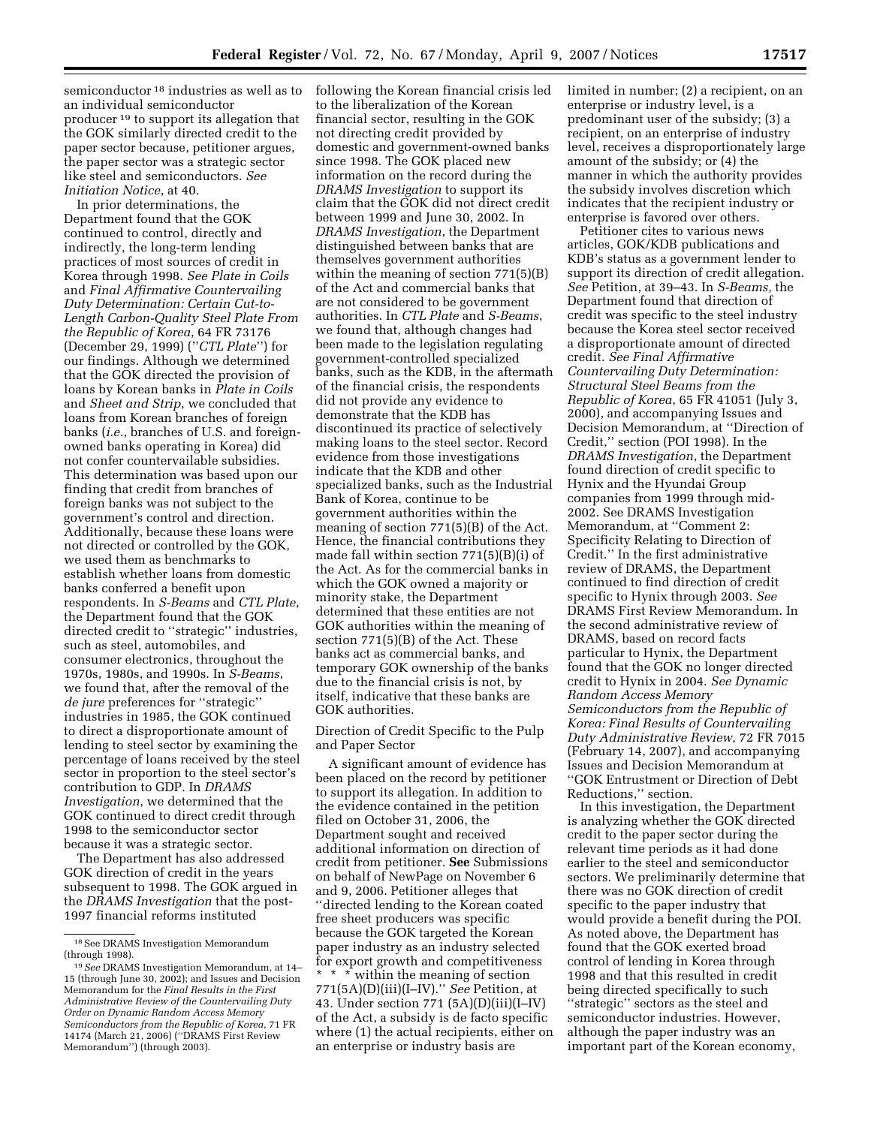semiconductor 18 industries as well as to an individual semiconductor producer 19 to support its allegation that the GOK similarly directed credit to the paper sector because, petitioner argues, the paper sector was a strategic sector like steel and semiconductors. *See Initiation Notice*, at 40.

In prior determinations, the Department found that the GOK continued to control, directly and indirectly, the long-term lending practices of most sources of credit in Korea through 1998. *See Plate in Coils*  and *Final Affirmative Countervailing Duty Determination: Certain Cut-to-Length Carbon-Quality Steel Plate From the Republic of Korea*, 64 FR 73176 (December 29, 1999) (''*CTL Plate*'') for our findings. Although we determined that the GOK directed the provision of loans by Korean banks in *Plate in Coils*  and *Sheet and Strip*, we concluded that loans from Korean branches of foreign banks (*i.e.*, branches of U.S. and foreignowned banks operating in Korea) did not confer countervailable subsidies. This determination was based upon our finding that credit from branches of foreign banks was not subject to the government's control and direction. Additionally, because these loans were not directed or controlled by the GOK, we used them as benchmarks to establish whether loans from domestic banks conferred a benefit upon respondents. In *S-Beams* and *CTL Plate*, the Department found that the GOK directed credit to ''strategic'' industries, such as steel, automobiles, and consumer electronics, throughout the 1970s, 1980s, and 1990s. In *S-Beams*, we found that, after the removal of the *de jure* preferences for ''strategic'' industries in 1985, the GOK continued to direct a disproportionate amount of lending to steel sector by examining the percentage of loans received by the steel sector in proportion to the steel sector's contribution to GDP. In *DRAMS Investigation*, we determined that the GOK continued to direct credit through 1998 to the semiconductor sector because it was a strategic sector.

The Department has also addressed GOK direction of credit in the years subsequent to 1998. The GOK argued in the *DRAMS Investigation* that the post-1997 financial reforms instituted

following the Korean financial crisis led to the liberalization of the Korean financial sector, resulting in the GOK not directing credit provided by domestic and government-owned banks since 1998. The GOK placed new information on the record during the *DRAMS Investigation* to support its claim that the GOK did not direct credit between 1999 and June 30, 2002. In *DRAMS Investigation*, the Department distinguished between banks that are themselves government authorities within the meaning of section 771(5)(B) of the Act and commercial banks that are not considered to be government authorities. In *CTL Plate* and *S-Beams*, we found that, although changes had been made to the legislation regulating government-controlled specialized banks, such as the KDB, in the aftermath of the financial crisis, the respondents did not provide any evidence to demonstrate that the KDB has discontinued its practice of selectively making loans to the steel sector. Record evidence from those investigations indicate that the KDB and other specialized banks, such as the Industrial Bank of Korea, continue to be government authorities within the meaning of section 771(5)(B) of the Act. Hence, the financial contributions they made fall within section 771(5)(B)(i) of the Act. As for the commercial banks in which the GOK owned a majority or minority stake, the Department determined that these entities are not GOK authorities within the meaning of section 771(5)(B) of the Act. These banks act as commercial banks, and temporary GOK ownership of the banks due to the financial crisis is not, by itself, indicative that these banks are GOK authorities.

Direction of Credit Specific to the Pulp and Paper Sector

A significant amount of evidence has been placed on the record by petitioner to support its allegation. In addition to the evidence contained in the petition filed on October 31, 2006, the Department sought and received additional information on direction of credit from petitioner. **See** Submissions on behalf of NewPage on November 6 and 9, 2006. Petitioner alleges that ''directed lending to the Korean coated free sheet producers was specific because the GOK targeted the Korean paper industry as an industry selected for export growth and competitiveness \* \* \* within the meaning of section 771(5A)(D)(iii)(I–IV).'' *See* Petition, at 43. Under section 771 (5A)(D)(iii)(I–IV) of the Act, a subsidy is de facto specific where (1) the actual recipients, either on an enterprise or industry basis are

limited in number; (2) a recipient, on an enterprise or industry level, is a predominant user of the subsidy; (3) a recipient, on an enterprise of industry level, receives a disproportionately large amount of the subsidy; or (4) the manner in which the authority provides the subsidy involves discretion which indicates that the recipient industry or enterprise is favored over others.

Petitioner cites to various news articles, GOK/KDB publications and KDB's status as a government lender to support its direction of credit allegation. *See* Petition, at 39–43. In *S-Beams*, the Department found that direction of credit was specific to the steel industry because the Korea steel sector received a disproportionate amount of directed credit. *See Final Affirmative Countervailing Duty Determination: Structural Steel Beams from the Republic of Korea*, 65 FR 41051 (July 3, 2000), and accompanying Issues and Decision Memorandum, at ''Direction of Credit,'' section (POI 1998). In the *DRAMS Investigation*, the Department found direction of credit specific to Hynix and the Hyundai Group companies from 1999 through mid-2002. See DRAMS Investigation Memorandum, at ''Comment 2: Specificity Relating to Direction of Credit.'' In the first administrative review of DRAMS, the Department continued to find direction of credit specific to Hynix through 2003. *See*  DRAMS First Review Memorandum. In the second administrative review of DRAMS, based on record facts particular to Hynix, the Department found that the GOK no longer directed credit to Hynix in 2004. *See Dynamic Random Access Memory Semiconductors from the Republic of Korea: Final Results of Countervailing Duty Administrative Review*, 72 FR 7015 (February 14, 2007), and accompanying Issues and Decision Memorandum at ''GOK Entrustment or Direction of Debt Reductions,'' section.

In this investigation, the Department is analyzing whether the GOK directed credit to the paper sector during the relevant time periods as it had done earlier to the steel and semiconductor sectors. We preliminarily determine that there was no GOK direction of credit specific to the paper industry that would provide a benefit during the POI. As noted above, the Department has found that the GOK exerted broad control of lending in Korea through 1998 and that this resulted in credit being directed specifically to such ''strategic'' sectors as the steel and semiconductor industries. However, although the paper industry was an important part of the Korean economy,

<sup>18</sup>See DRAMS Investigation Memorandum (through 1998).

<sup>19</sup>*See* DRAMS Investigation Memorandum, at 14– 15 (through June 30, 2002); and Issues and Decision Memorandum for the *Final Results in the First Administrative Review of the Countervailing Duty Order on Dynamic Random Access Memory Semiconductors from the Republic of Korea*, 71 FR 14174 (March 21, 2006) (''DRAMS First Review Memorandum'') (through 2003).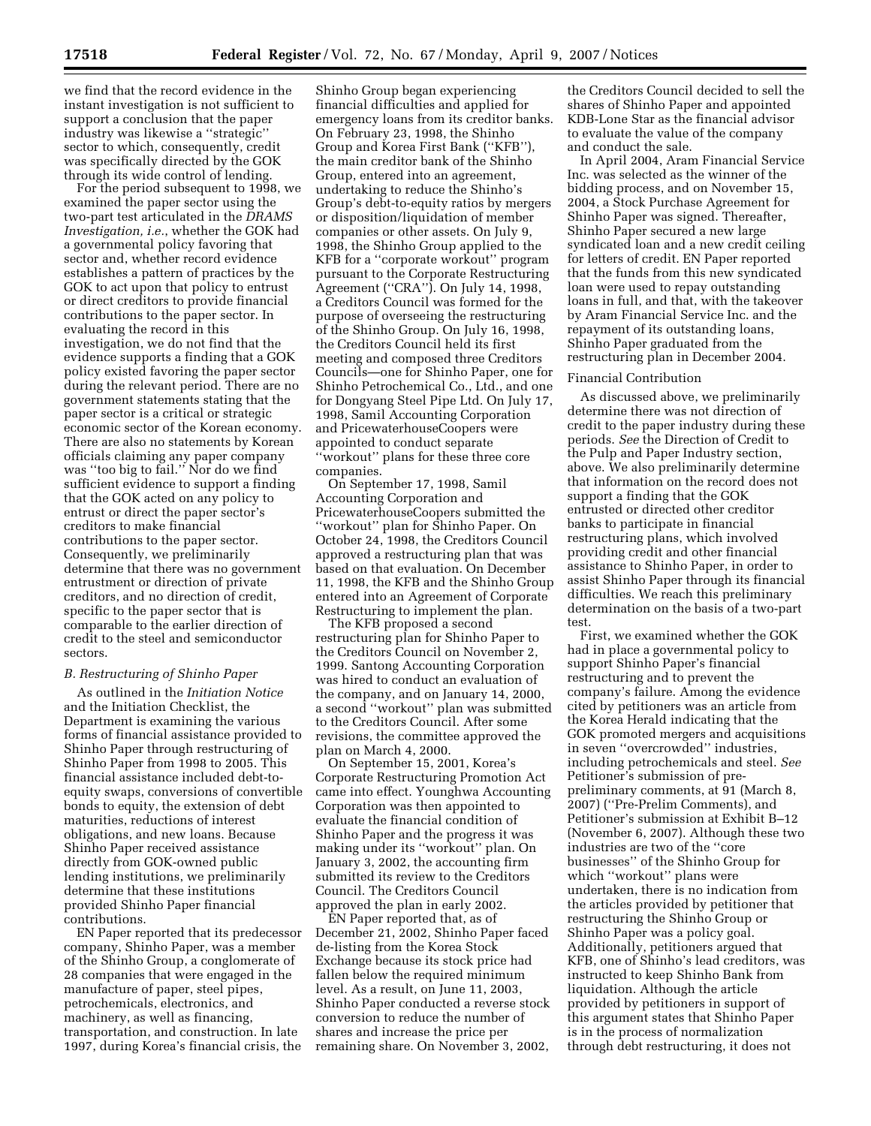we find that the record evidence in the instant investigation is not sufficient to support a conclusion that the paper industry was likewise a ''strategic'' sector to which, consequently, credit was specifically directed by the GOK through its wide control of lending.

For the period subsequent to 1998, we examined the paper sector using the two-part test articulated in the *DRAMS Investigation, i.e.*, whether the GOK had a governmental policy favoring that sector and, whether record evidence establishes a pattern of practices by the GOK to act upon that policy to entrust or direct creditors to provide financial contributions to the paper sector. In evaluating the record in this investigation, we do not find that the evidence supports a finding that a GOK policy existed favoring the paper sector during the relevant period. There are no government statements stating that the paper sector is a critical or strategic economic sector of the Korean economy. There are also no statements by Korean officials claiming any paper company was ''too big to fail.'' Nor do we find sufficient evidence to support a finding that the GOK acted on any policy to entrust or direct the paper sector's creditors to make financial contributions to the paper sector. Consequently, we preliminarily determine that there was no government entrustment or direction of private creditors, and no direction of credit, specific to the paper sector that is comparable to the earlier direction of credit to the steel and semiconductor sectors.

#### *B. Restructuring of Shinho Paper*

As outlined in the *Initiation Notice*  and the Initiation Checklist, the Department is examining the various forms of financial assistance provided to Shinho Paper through restructuring of Shinho Paper from 1998 to 2005. This financial assistance included debt-toequity swaps, conversions of convertible bonds to equity, the extension of debt maturities, reductions of interest obligations, and new loans. Because Shinho Paper received assistance directly from GOK-owned public lending institutions, we preliminarily determine that these institutions provided Shinho Paper financial contributions.

EN Paper reported that its predecessor company, Shinho Paper, was a member of the Shinho Group, a conglomerate of 28 companies that were engaged in the manufacture of paper, steel pipes, petrochemicals, electronics, and machinery, as well as financing, transportation, and construction. In late 1997, during Korea's financial crisis, the

Shinho Group began experiencing financial difficulties and applied for emergency loans from its creditor banks. On February 23, 1998, the Shinho Group and Korea First Bank (''KFB''), the main creditor bank of the Shinho Group, entered into an agreement, undertaking to reduce the Shinho's Group's debt-to-equity ratios by mergers or disposition/liquidation of member companies or other assets. On July 9, 1998, the Shinho Group applied to the KFB for a ''corporate workout'' program pursuant to the Corporate Restructuring Agreement (''CRA''). On July 14, 1998, a Creditors Council was formed for the purpose of overseeing the restructuring of the Shinho Group. On July 16, 1998, the Creditors Council held its first meeting and composed three Creditors Councils—one for Shinho Paper, one for Shinho Petrochemical Co., Ltd., and one for Dongyang Steel Pipe Ltd. On July 17, 1998, Samil Accounting Corporation and PricewaterhouseCoopers were appointed to conduct separate ''workout'' plans for these three core companies.

On September 17, 1998, Samil Accounting Corporation and PricewaterhouseCoopers submitted the ''workout'' plan for Shinho Paper. On October 24, 1998, the Creditors Council approved a restructuring plan that was based on that evaluation. On December 11, 1998, the KFB and the Shinho Group entered into an Agreement of Corporate Restructuring to implement the plan.

The KFB proposed a second restructuring plan for Shinho Paper to the Creditors Council on November 2, 1999. Santong Accounting Corporation was hired to conduct an evaluation of the company, and on January 14, 2000, a second ''workout'' plan was submitted to the Creditors Council. After some revisions, the committee approved the plan on March 4, 2000.

On September 15, 2001, Korea's Corporate Restructuring Promotion Act came into effect. Younghwa Accounting Corporation was then appointed to evaluate the financial condition of Shinho Paper and the progress it was making under its ''workout'' plan. On January 3, 2002, the accounting firm submitted its review to the Creditors Council. The Creditors Council approved the plan in early 2002.

EN Paper reported that, as of December 21, 2002, Shinho Paper faced de-listing from the Korea Stock Exchange because its stock price had fallen below the required minimum level. As a result, on June 11, 2003, Shinho Paper conducted a reverse stock conversion to reduce the number of shares and increase the price per remaining share. On November 3, 2002,

the Creditors Council decided to sell the shares of Shinho Paper and appointed KDB-Lone Star as the financial advisor to evaluate the value of the company and conduct the sale.

In April 2004, Aram Financial Service Inc. was selected as the winner of the bidding process, and on November 15, 2004, a Stock Purchase Agreement for Shinho Paper was signed. Thereafter, Shinho Paper secured a new large syndicated loan and a new credit ceiling for letters of credit. EN Paper reported that the funds from this new syndicated loan were used to repay outstanding loans in full, and that, with the takeover by Aram Financial Service Inc. and the repayment of its outstanding loans, Shinho Paper graduated from the restructuring plan in December 2004.

#### Financial Contribution

As discussed above, we preliminarily determine there was not direction of credit to the paper industry during these periods. *See* the Direction of Credit to the Pulp and Paper Industry section, above. We also preliminarily determine that information on the record does not support a finding that the GOK entrusted or directed other creditor banks to participate in financial restructuring plans, which involved providing credit and other financial assistance to Shinho Paper, in order to assist Shinho Paper through its financial difficulties. We reach this preliminary determination on the basis of a two-part test.

First, we examined whether the GOK had in place a governmental policy to support Shinho Paper's financial restructuring and to prevent the company's failure. Among the evidence cited by petitioners was an article from the Korea Herald indicating that the GOK promoted mergers and acquisitions in seven ''overcrowded'' industries, including petrochemicals and steel. *See*  Petitioner's submission of prepreliminary comments, at 91 (March 8, 2007) (''Pre-Prelim Comments), and Petitioner's submission at Exhibit B–12 (November 6, 2007). Although these two industries are two of the ''core businesses'' of the Shinho Group for which ''workout'' plans were undertaken, there is no indication from the articles provided by petitioner that restructuring the Shinho Group or Shinho Paper was a policy goal. Additionally, petitioners argued that KFB, one of Shinho's lead creditors, was instructed to keep Shinho Bank from liquidation. Although the article provided by petitioners in support of this argument states that Shinho Paper is in the process of normalization through debt restructuring, it does not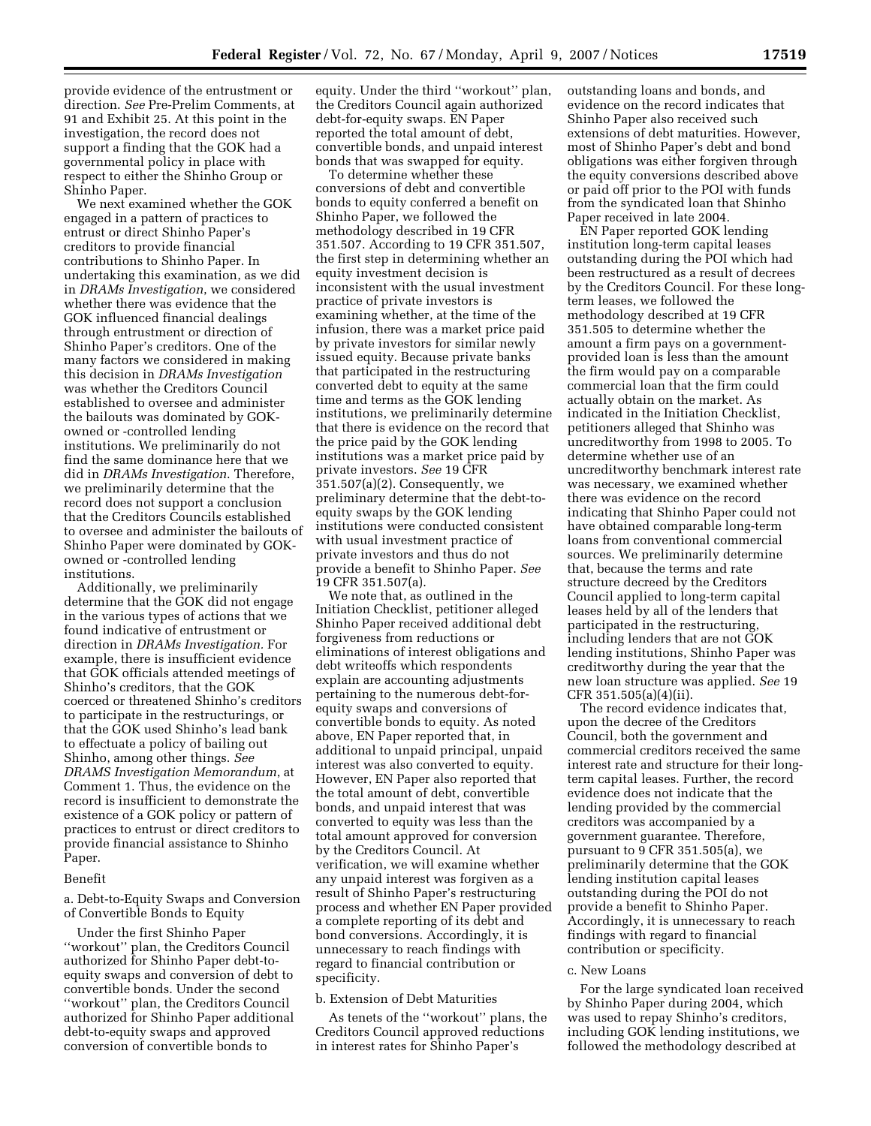provide evidence of the entrustment or direction. *See* Pre-Prelim Comments, at 91 and Exhibit 25. At this point in the investigation, the record does not support a finding that the GOK had a governmental policy in place with respect to either the Shinho Group or Shinho Paper.

We next examined whether the GOK engaged in a pattern of practices to entrust or direct Shinho Paper's creditors to provide financial contributions to Shinho Paper. In undertaking this examination, as we did in *DRAMs Investigation*, we considered whether there was evidence that the GOK influenced financial dealings through entrustment or direction of Shinho Paper's creditors. One of the many factors we considered in making this decision in *DRAMs Investigation*  was whether the Creditors Council established to oversee and administer the bailouts was dominated by GOKowned or -controlled lending institutions. We preliminarily do not find the same dominance here that we did in *DRAMs Investigation*. Therefore, we preliminarily determine that the record does not support a conclusion that the Creditors Councils established to oversee and administer the bailouts of Shinho Paper were dominated by GOKowned or -controlled lending institutions.

Additionally, we preliminarily determine that the GOK did not engage in the various types of actions that we found indicative of entrustment or direction in *DRAMs Investigation.* For example, there is insufficient evidence that GOK officials attended meetings of Shinho's creditors, that the GOK coerced or threatened Shinho's creditors to participate in the restructurings, or that the GOK used Shinho's lead bank to effectuate a policy of bailing out Shinho, among other things. *See DRAMS Investigation Memorandum*, at Comment 1. Thus, the evidence on the record is insufficient to demonstrate the existence of a GOK policy or pattern of practices to entrust or direct creditors to provide financial assistance to Shinho Paper.

#### Benefit

a. Debt-to-Equity Swaps and Conversion of Convertible Bonds to Equity

Under the first Shinho Paper ''workout'' plan, the Creditors Council authorized for Shinho Paper debt-toequity swaps and conversion of debt to convertible bonds. Under the second ''workout'' plan, the Creditors Council authorized for Shinho Paper additional debt-to-equity swaps and approved conversion of convertible bonds to

equity. Under the third ''workout'' plan, the Creditors Council again authorized debt-for-equity swaps. EN Paper reported the total amount of debt, convertible bonds, and unpaid interest bonds that was swapped for equity.

To determine whether these conversions of debt and convertible bonds to equity conferred a benefit on Shinho Paper, we followed the methodology described in 19 CFR 351.507. According to 19 CFR 351.507, the first step in determining whether an equity investment decision is inconsistent with the usual investment practice of private investors is examining whether, at the time of the infusion, there was a market price paid by private investors for similar newly issued equity. Because private banks that participated in the restructuring converted debt to equity at the same time and terms as the GOK lending institutions, we preliminarily determine that there is evidence on the record that the price paid by the GOK lending institutions was a market price paid by private investors. *See* 19 CFR 351.507(a)(2). Consequently, we preliminary determine that the debt-toequity swaps by the GOK lending institutions were conducted consistent with usual investment practice of private investors and thus do not provide a benefit to Shinho Paper. *See*  19 CFR 351.507(a).

We note that, as outlined in the Initiation Checklist, petitioner alleged Shinho Paper received additional debt forgiveness from reductions or eliminations of interest obligations and debt writeoffs which respondents explain are accounting adjustments pertaining to the numerous debt-forequity swaps and conversions of convertible bonds to equity. As noted above, EN Paper reported that, in additional to unpaid principal, unpaid interest was also converted to equity. However, EN Paper also reported that the total amount of debt, convertible bonds, and unpaid interest that was converted to equity was less than the total amount approved for conversion by the Creditors Council. At verification, we will examine whether any unpaid interest was forgiven as a result of Shinho Paper's restructuring process and whether EN Paper provided a complete reporting of its debt and bond conversions. Accordingly, it is unnecessary to reach findings with regard to financial contribution or specificity.

#### b. Extension of Debt Maturities

As tenets of the ''workout'' plans, the Creditors Council approved reductions in interest rates for Shinho Paper's

outstanding loans and bonds, and evidence on the record indicates that Shinho Paper also received such extensions of debt maturities. However, most of Shinho Paper's debt and bond obligations was either forgiven through the equity conversions described above or paid off prior to the POI with funds from the syndicated loan that Shinho Paper received in late 2004.

EN Paper reported GOK lending institution long-term capital leases outstanding during the POI which had been restructured as a result of decrees by the Creditors Council. For these longterm leases, we followed the methodology described at 19 CFR 351.505 to determine whether the amount a firm pays on a governmentprovided loan is less than the amount the firm would pay on a comparable commercial loan that the firm could actually obtain on the market. As indicated in the Initiation Checklist, petitioners alleged that Shinho was uncreditworthy from 1998 to 2005. To determine whether use of an uncreditworthy benchmark interest rate was necessary, we examined whether there was evidence on the record indicating that Shinho Paper could not have obtained comparable long-term loans from conventional commercial sources. We preliminarily determine that, because the terms and rate structure decreed by the Creditors Council applied to long-term capital leases held by all of the lenders that participated in the restructuring, including lenders that are not GOK lending institutions, Shinho Paper was creditworthy during the year that the new loan structure was applied. *See* 19 CFR 351.505(a)(4)(ii).

The record evidence indicates that, upon the decree of the Creditors Council, both the government and commercial creditors received the same interest rate and structure for their longterm capital leases. Further, the record evidence does not indicate that the lending provided by the commercial creditors was accompanied by a government guarantee. Therefore, pursuant to 9 CFR 351.505(a), we preliminarily determine that the GOK lending institution capital leases outstanding during the POI do not provide a benefit to Shinho Paper. Accordingly, it is unnecessary to reach findings with regard to financial contribution or specificity.

#### c. New Loans

For the large syndicated loan received by Shinho Paper during 2004, which was used to repay Shinho's creditors, including GOK lending institutions, we followed the methodology described at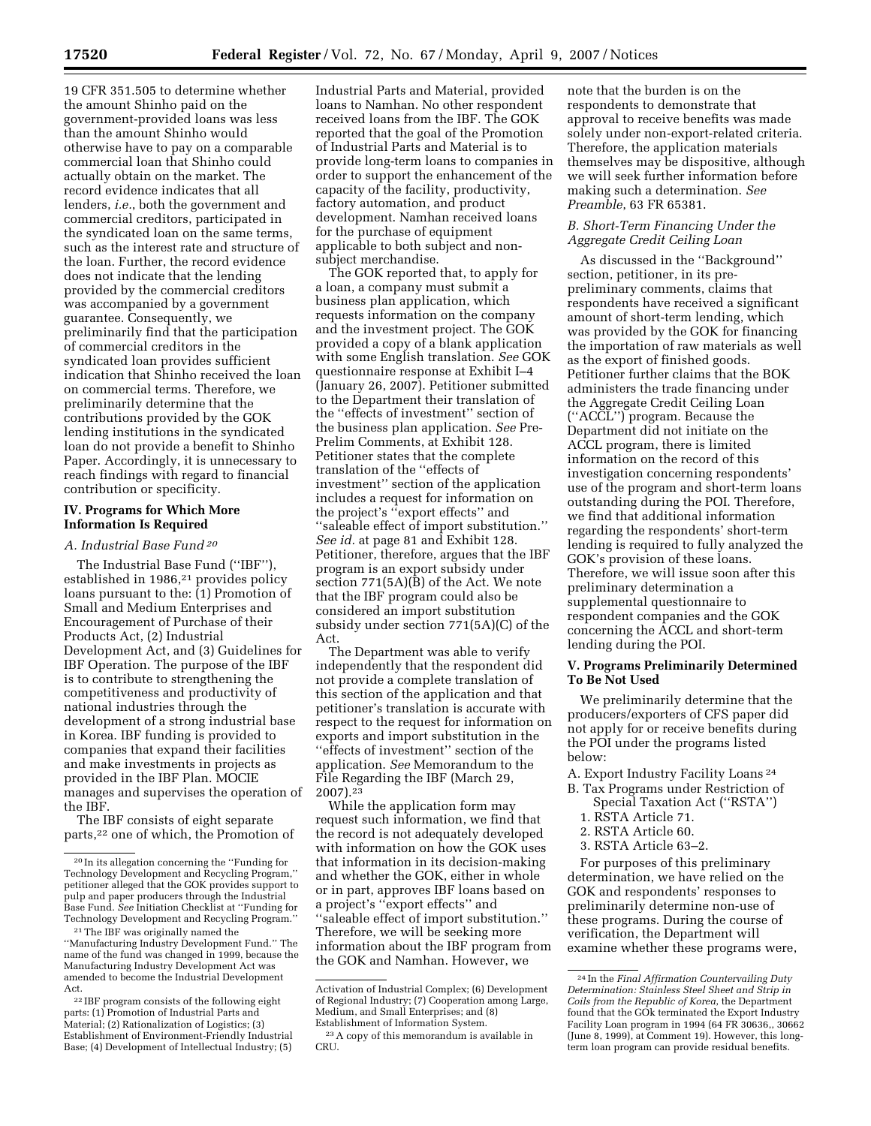19 CFR 351.505 to determine whether the amount Shinho paid on the government-provided loans was less than the amount Shinho would otherwise have to pay on a comparable commercial loan that Shinho could actually obtain on the market. The record evidence indicates that all lenders, *i.e.*, both the government and commercial creditors, participated in the syndicated loan on the same terms, such as the interest rate and structure of the loan. Further, the record evidence does not indicate that the lending provided by the commercial creditors was accompanied by a government guarantee. Consequently, we preliminarily find that the participation of commercial creditors in the syndicated loan provides sufficient indication that Shinho received the loan on commercial terms. Therefore, we preliminarily determine that the contributions provided by the GOK lending institutions in the syndicated loan do not provide a benefit to Shinho Paper. Accordingly, it is unnecessary to reach findings with regard to financial contribution or specificity.

### **IV. Programs for Which More Information Is Required**

## *A. Industrial Base Fund 20*

The Industrial Base Fund (''IBF''), established in 1986,<sup>21</sup> provides policy loans pursuant to the: (1) Promotion of Small and Medium Enterprises and Encouragement of Purchase of their Products Act, (2) Industrial Development Act, and (3) Guidelines for IBF Operation. The purpose of the IBF is to contribute to strengthening the competitiveness and productivity of national industries through the development of a strong industrial base in Korea. IBF funding is provided to companies that expand their facilities and make investments in projects as provided in the IBF Plan. MOCIE manages and supervises the operation of the IBF.

The IBF consists of eight separate parts,22 one of which, the Promotion of

Industrial Parts and Material, provided loans to Namhan. No other respondent received loans from the IBF. The GOK reported that the goal of the Promotion of Industrial Parts and Material is to provide long-term loans to companies in order to support the enhancement of the capacity of the facility, productivity, factory automation, and product development. Namhan received loans for the purchase of equipment applicable to both subject and nonsubject merchandise.

The GOK reported that, to apply for a loan, a company must submit a business plan application, which requests information on the company and the investment project. The GOK provided a copy of a blank application with some English translation. *See* GOK questionnaire response at Exhibit I–4 (January 26, 2007). Petitioner submitted to the Department their translation of the ''effects of investment'' section of the business plan application. *See* Pre-Prelim Comments, at Exhibit 128. Petitioner states that the complete translation of the ''effects of investment'' section of the application includes a request for information on the project's ''export effects'' and ''saleable effect of import substitution.'' *See id.* at page 81 and Exhibit 128. Petitioner, therefore, argues that the IBF program is an export subsidy under section 771(5A)(B) of the Act. We note that the IBF program could also be considered an import substitution subsidy under section 771(5A)(C) of the Act.

The Department was able to verify independently that the respondent did not provide a complete translation of this section of the application and that petitioner's translation is accurate with respect to the request for information on exports and import substitution in the ''effects of investment'' section of the application. *See* Memorandum to the File Regarding the IBF (March 29,  $2007$ ). $2\overline{3}$ 

While the application form may request such information, we find that the record is not adequately developed with information on how the GOK uses that information in its decision-making and whether the GOK, either in whole or in part, approves IBF loans based on a project's ''export effects'' and ''saleable effect of import substitution.'' Therefore, we will be seeking more information about the IBF program from the GOK and Namhan. However, we

note that the burden is on the respondents to demonstrate that approval to receive benefits was made solely under non-export-related criteria. Therefore, the application materials themselves may be dispositive, although we will seek further information before making such a determination. *See Preamble*, 63 FR 65381.

## *B. Short-Term Financing Under the Aggregate Credit Ceiling Loan*

As discussed in the ''Background'' section, petitioner, in its prepreliminary comments, claims that respondents have received a significant amount of short-term lending, which was provided by the GOK for financing the importation of raw materials as well as the export of finished goods. Petitioner further claims that the BOK administers the trade financing under the Aggregate Credit Ceiling Loan (''ACCL'') program. Because the Department did not initiate on the ACCL program, there is limited information on the record of this investigation concerning respondents' use of the program and short-term loans outstanding during the POI. Therefore, we find that additional information regarding the respondents' short-term lending is required to fully analyzed the GOK's provision of these loans. Therefore, we will issue soon after this preliminary determination a supplemental questionnaire to respondent companies and the GOK concerning the ACCL and short-term lending during the POI.

## **V. Programs Preliminarily Determined To Be Not Used**

We preliminarily determine that the producers/exporters of CFS paper did not apply for or receive benefits during the POI under the programs listed below:

- A. Export Industry Facility Loans 24
- B. Tax Programs under Restriction of Special Taxation Act (''RSTA'')
	- 1. RSTA Article 71.
	- 2. RSTA Article 60.
	- 3. RSTA Article 63–2.

For purposes of this preliminary determination, we have relied on the GOK and respondents' responses to preliminarily determine non-use of these programs. During the course of verification, the Department will examine whether these programs were,

<sup>20</sup> In its allegation concerning the ''Funding for Technology Development and Recycling Program,'' petitioner alleged that the GOK provides support to pulp and paper producers through the Industrial Base Fund. *See* Initiation Checklist at ''Funding for Technology Development and Recycling Program.''

<sup>21</sup>The IBF was originally named the ''Manufacturing Industry Development Fund.'' The name of the fund was changed in 1999, because the Manufacturing Industry Development Act was amended to become the Industrial Development Act.

 $\rm ^{22}$  IBF program consists of the following eight parts: (1) Promotion of Industrial Parts and Material; (2) Rationalization of Logistics; (3) Establishment of Environment-Friendly Industrial Base; (4) Development of Intellectual Industry; (5)

Activation of Industrial Complex; (6) Development of Regional Industry; (7) Cooperation among Large, Medium, and Small Enterprises; and (8) Establishment of Information System.

<sup>23</sup>A copy of this memorandum is available in CRU.

<sup>24</sup> In the *Final Affirmation Countervailing Duty Determination: Stainless Steel Sheet and Strip in Coils from the Republic of Korea*, the Department found that the GOk terminated the Export Industry Facility Loan program in 1994 (64 FR 30636,, 30662 (June 8, 1999), at Comment 19). However, this longterm loan program can provide residual benefits.